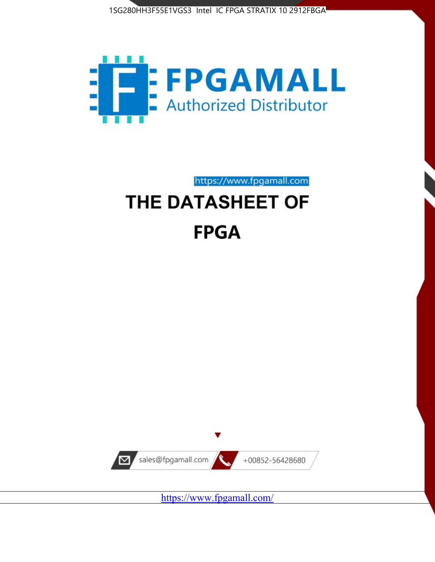



https://www.fpgamall.com

# THE DATASHEET OF **FPGA**



<https://www.fpgamall.com/>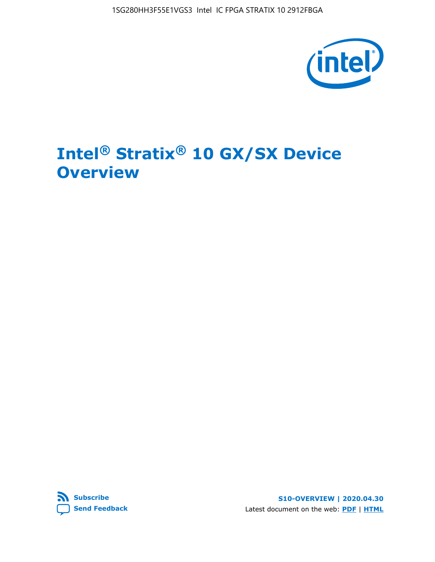

# **Intel® Stratix® 10 GX/SX Device Overview**



**S10-OVERVIEW | 2020.04.30** Latest document on the web: **[PDF](https://www.intel.com/content/dam/www/programmable/us/en/pdfs/literature/hb/stratix-10/s10-overview.pdf)** | **[HTML](https://www.intel.com/content/www/us/en/programmable/documentation/joc1442261161666.html)**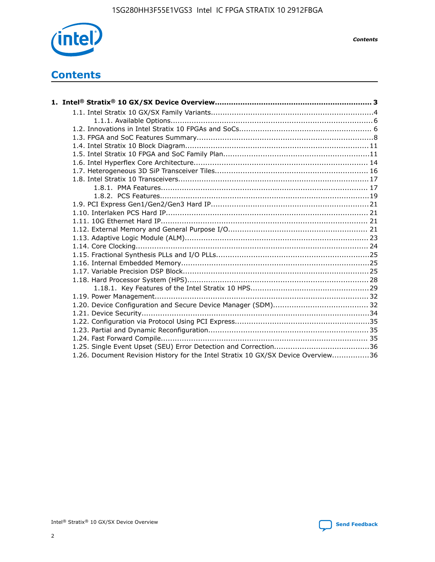

*Contents*

# **Contents**

| 1.26. Document Revision History for the Intel Stratix 10 GX/SX Device Overview36 |  |
|----------------------------------------------------------------------------------|--|

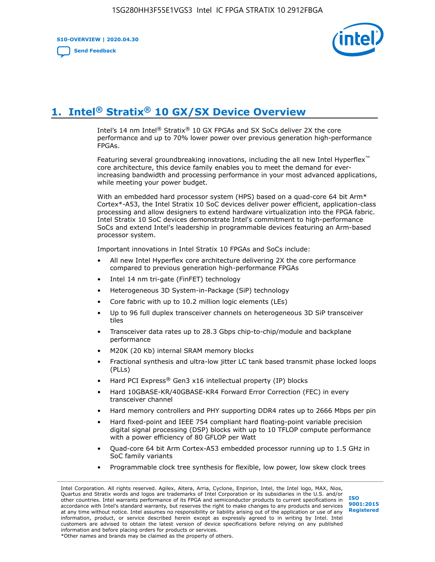**S10-OVERVIEW | 2020.04.30**

**[Send Feedback](mailto:FPGAtechdocfeedback@intel.com?subject=Feedback%20on%20Intel%20Stratix%2010%20GX/SX%20Device%20Overview%20(S10-OVERVIEW%202020.04.30)&body=We%20appreciate%20your%20feedback.%20In%20your%20comments,%20also%20specify%20the%20page%20number%20or%20paragraph.%20Thank%20you.)**



# **1. Intel® Stratix® 10 GX/SX Device Overview**

Intel's 14 nm Intel® Stratix® 10 GX FPGAs and SX SoCs deliver 2X the core performance and up to 70% lower power over previous generation high-performance FPGAs.

Featuring several groundbreaking innovations, including the all new Intel Hyperflex™ core architecture, this device family enables you to meet the demand for everincreasing bandwidth and processing performance in your most advanced applications, while meeting your power budget.

With an embedded hard processor system (HPS) based on a quad-core 64 bit Arm\* Cortex\*-A53, the Intel Stratix 10 SoC devices deliver power efficient, application-class processing and allow designers to extend hardware virtualization into the FPGA fabric. Intel Stratix 10 SoC devices demonstrate Intel's commitment to high-performance SoCs and extend Intel's leadership in programmable devices featuring an Arm-based processor system.

Important innovations in Intel Stratix 10 FPGAs and SoCs include:

- All new Intel Hyperflex core architecture delivering 2X the core performance compared to previous generation high-performance FPGAs
- Intel 14 nm tri-gate (FinFET) technology
- Heterogeneous 3D System-in-Package (SiP) technology
- Core fabric with up to 10.2 million logic elements (LEs)
- Up to 96 full duplex transceiver channels on heterogeneous 3D SiP transceiver tiles
- Transceiver data rates up to 28.3 Gbps chip-to-chip/module and backplane performance
- M20K (20 Kb) internal SRAM memory blocks
- Fractional synthesis and ultra-low jitter LC tank based transmit phase locked loops (PLLs)
- Hard PCI Express<sup>®</sup> Gen3 x16 intellectual property (IP) blocks
- Hard 10GBASE-KR/40GBASE-KR4 Forward Error Correction (FEC) in every transceiver channel
- Hard memory controllers and PHY supporting DDR4 rates up to 2666 Mbps per pin
- Hard fixed-point and IEEE 754 compliant hard floating-point variable precision digital signal processing (DSP) blocks with up to 10 TFLOP compute performance with a power efficiency of 80 GFLOP per Watt
- Quad-core 64 bit Arm Cortex-A53 embedded processor running up to 1.5 GHz in SoC family variants
- Programmable clock tree synthesis for flexible, low power, low skew clock trees

Intel Corporation. All rights reserved. Agilex, Altera, Arria, Cyclone, Enpirion, Intel, the Intel logo, MAX, Nios, Quartus and Stratix words and logos are trademarks of Intel Corporation or its subsidiaries in the U.S. and/or other countries. Intel warrants performance of its FPGA and semiconductor products to current specifications in accordance with Intel's standard warranty, but reserves the right to make changes to any products and services at any time without notice. Intel assumes no responsibility or liability arising out of the application or use of any information, product, or service described herein except as expressly agreed to in writing by Intel. Intel customers are advised to obtain the latest version of device specifications before relying on any published information and before placing orders for products or services. \*Other names and brands may be claimed as the property of others.

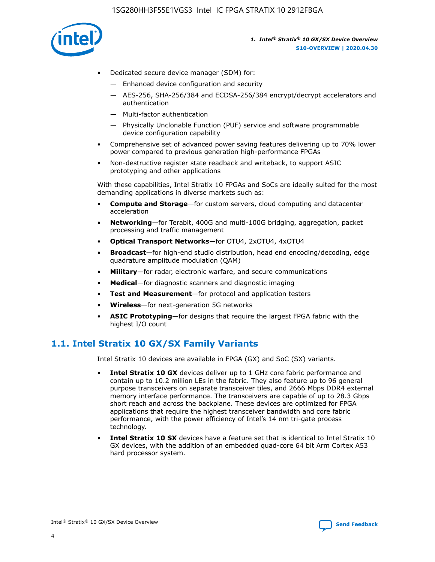

- Dedicated secure device manager (SDM) for:
	- Enhanced device configuration and security
	- AES-256, SHA-256/384 and ECDSA-256/384 encrypt/decrypt accelerators and authentication
	- Multi-factor authentication
	- Physically Unclonable Function (PUF) service and software programmable device configuration capability
- Comprehensive set of advanced power saving features delivering up to 70% lower power compared to previous generation high-performance FPGAs
- Non-destructive register state readback and writeback, to support ASIC prototyping and other applications

With these capabilities, Intel Stratix 10 FPGAs and SoCs are ideally suited for the most demanding applications in diverse markets such as:

- **Compute and Storage**—for custom servers, cloud computing and datacenter acceleration
- **Networking**—for Terabit, 400G and multi-100G bridging, aggregation, packet processing and traffic management
- **Optical Transport Networks**—for OTU4, 2xOTU4, 4xOTU4
- **Broadcast**—for high-end studio distribution, head end encoding/decoding, edge quadrature amplitude modulation (QAM)
- **Military**—for radar, electronic warfare, and secure communications
- **Medical**—for diagnostic scanners and diagnostic imaging
- **Test and Measurement**—for protocol and application testers
- **Wireless**—for next-generation 5G networks
- **ASIC Prototyping**—for designs that require the largest FPGA fabric with the highest I/O count

## **1.1. Intel Stratix 10 GX/SX Family Variants**

Intel Stratix 10 devices are available in FPGA (GX) and SoC (SX) variants.

- **Intel Stratix 10 GX** devices deliver up to 1 GHz core fabric performance and contain up to 10.2 million LEs in the fabric. They also feature up to 96 general purpose transceivers on separate transceiver tiles, and 2666 Mbps DDR4 external memory interface performance. The transceivers are capable of up to 28.3 Gbps short reach and across the backplane. These devices are optimized for FPGA applications that require the highest transceiver bandwidth and core fabric performance, with the power efficiency of Intel's 14 nm tri-gate process technology.
- **Intel Stratix 10 SX** devices have a feature set that is identical to Intel Stratix 10 GX devices, with the addition of an embedded quad-core 64 bit Arm Cortex A53 hard processor system.

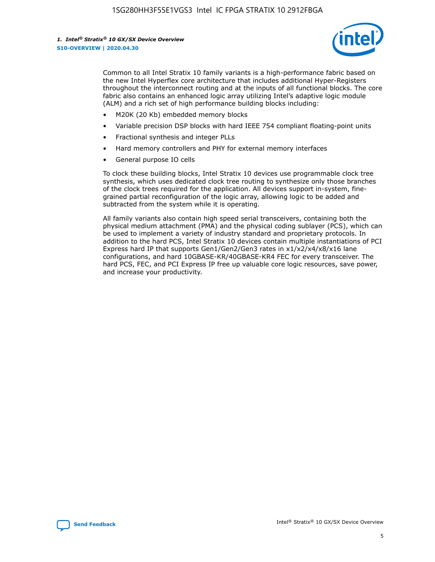

Common to all Intel Stratix 10 family variants is a high-performance fabric based on the new Intel Hyperflex core architecture that includes additional Hyper-Registers throughout the interconnect routing and at the inputs of all functional blocks. The core fabric also contains an enhanced logic array utilizing Intel's adaptive logic module (ALM) and a rich set of high performance building blocks including:

- M20K (20 Kb) embedded memory blocks
- Variable precision DSP blocks with hard IEEE 754 compliant floating-point units
- Fractional synthesis and integer PLLs
- Hard memory controllers and PHY for external memory interfaces
- General purpose IO cells

To clock these building blocks, Intel Stratix 10 devices use programmable clock tree synthesis, which uses dedicated clock tree routing to synthesize only those branches of the clock trees required for the application. All devices support in-system, finegrained partial reconfiguration of the logic array, allowing logic to be added and subtracted from the system while it is operating.

All family variants also contain high speed serial transceivers, containing both the physical medium attachment (PMA) and the physical coding sublayer (PCS), which can be used to implement a variety of industry standard and proprietary protocols. In addition to the hard PCS, Intel Stratix 10 devices contain multiple instantiations of PCI Express hard IP that supports Gen1/Gen2/Gen3 rates in x1/x2/x4/x8/x16 lane configurations, and hard 10GBASE-KR/40GBASE-KR4 FEC for every transceiver. The hard PCS, FEC, and PCI Express IP free up valuable core logic resources, save power, and increase your productivity.

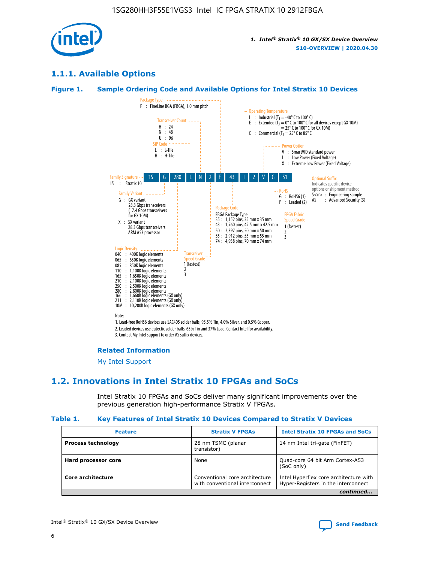

## **1.1.1. Available Options**

#### **Figure 1. Sample Ordering Code and Available Options for Intel Stratix 10 Devices**



3. Contact My Intel support to order AS suffix devices.

#### **Related Information**

[My Intel Support](https://www.intel.com/content/www/us/en/programmable/my-intel/mal-home.html)

## **1.2. Innovations in Intel Stratix 10 FPGAs and SoCs**

Intel Stratix 10 FPGAs and SoCs deliver many significant improvements over the previous generation high-performance Stratix V FPGAs.

#### **Table 1. Key Features of Intel Stratix 10 Devices Compared to Stratix V Devices**

| <b>Feature</b>            | <b>Stratix V FPGAs</b>                                           | <b>Intel Stratix 10 FPGAs and SoCs</b>                                        |
|---------------------------|------------------------------------------------------------------|-------------------------------------------------------------------------------|
| <b>Process technology</b> | 28 nm TSMC (planar<br>transistor)                                | 14 nm Intel tri-gate (FinFET)                                                 |
| Hard processor core       | None                                                             | Quad-core 64 bit Arm Cortex-A53<br>(SoC only)                                 |
| Core architecture         | Conventional core architecture<br>with conventional interconnect | Intel Hyperflex core architecture with<br>Hyper-Registers in the interconnect |
|                           |                                                                  | continued                                                                     |

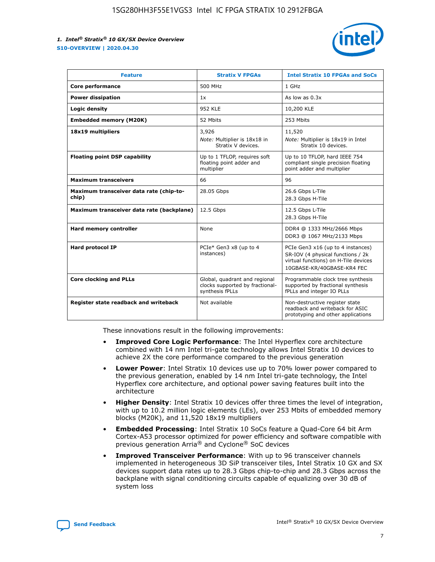

| <b>Feature</b>                                   | <b>Stratix V FPGAs</b>                                                              | <b>Intel Stratix 10 FPGAs and SoCs</b>                                                                                                       |
|--------------------------------------------------|-------------------------------------------------------------------------------------|----------------------------------------------------------------------------------------------------------------------------------------------|
| Core performance                                 | 500 MHz                                                                             | 1 GHz                                                                                                                                        |
| <b>Power dissipation</b>                         | 1x                                                                                  | As low as $0.3x$                                                                                                                             |
| Logic density                                    | <b>952 KLE</b>                                                                      | 10,200 KLE                                                                                                                                   |
| <b>Embedded memory (M20K)</b>                    | 52 Mbits                                                                            | 253 Mbits                                                                                                                                    |
| 18x19 multipliers                                | 3,926                                                                               | 11,520                                                                                                                                       |
|                                                  | Note: Multiplier is 18x18 in<br>Stratix V devices.                                  | Note: Multiplier is 18x19 in Intel<br>Stratix 10 devices.                                                                                    |
| <b>Floating point DSP capability</b>             | Up to 1 TFLOP, requires soft<br>floating point adder and<br>multiplier              | Up to 10 TFLOP, hard IEEE 754<br>compliant single precision floating<br>point adder and multiplier                                           |
| <b>Maximum transceivers</b>                      | 66                                                                                  | 96                                                                                                                                           |
| Maximum transceiver data rate (chip-to-<br>chip) | 28.05 Gbps                                                                          | 26.6 Gbps L-Tile<br>28.3 Gbps H-Tile                                                                                                         |
| Maximum transceiver data rate (backplane)        | 12.5 Gbps                                                                           | 12.5 Gbps L-Tile<br>28.3 Gbps H-Tile                                                                                                         |
| Hard memory controller                           | None                                                                                | DDR4 @ 1333 MHz/2666 Mbps<br>DDR3 @ 1067 MHz/2133 Mbps                                                                                       |
| Hard protocol IP                                 | PCIe* Gen3 x8 (up to 4<br>instances)                                                | PCIe Gen3 x16 (up to 4 instances)<br>SR-IOV (4 physical functions / 2k<br>virtual functions) on H-Tile devices<br>10GBASE-KR/40GBASE-KR4 FEC |
| <b>Core clocking and PLLs</b>                    | Global, quadrant and regional<br>clocks supported by fractional-<br>synthesis fPLLs | Programmable clock tree synthesis<br>supported by fractional synthesis<br>fPLLs and integer IO PLLs                                          |
| Register state readback and writeback            | Not available                                                                       | Non-destructive register state<br>readback and writeback for ASIC<br>prototyping and other applications                                      |

These innovations result in the following improvements:

- **Improved Core Logic Performance**: The Intel Hyperflex core architecture combined with 14 nm Intel tri-gate technology allows Intel Stratix 10 devices to achieve 2X the core performance compared to the previous generation
- **Lower Power**: Intel Stratix 10 devices use up to 70% lower power compared to the previous generation, enabled by 14 nm Intel tri-gate technology, the Intel Hyperflex core architecture, and optional power saving features built into the architecture
- **Higher Density**: Intel Stratix 10 devices offer three times the level of integration, with up to 10.2 million logic elements (LEs), over 253 Mbits of embedded memory blocks (M20K), and 11,520 18x19 multipliers
- **Embedded Processing**: Intel Stratix 10 SoCs feature a Quad-Core 64 bit Arm Cortex-A53 processor optimized for power efficiency and software compatible with previous generation Arria® and Cyclone® SoC devices
- **Improved Transceiver Performance**: With up to 96 transceiver channels implemented in heterogeneous 3D SiP transceiver tiles, Intel Stratix 10 GX and SX devices support data rates up to 28.3 Gbps chip-to-chip and 28.3 Gbps across the backplane with signal conditioning circuits capable of equalizing over 30 dB of system loss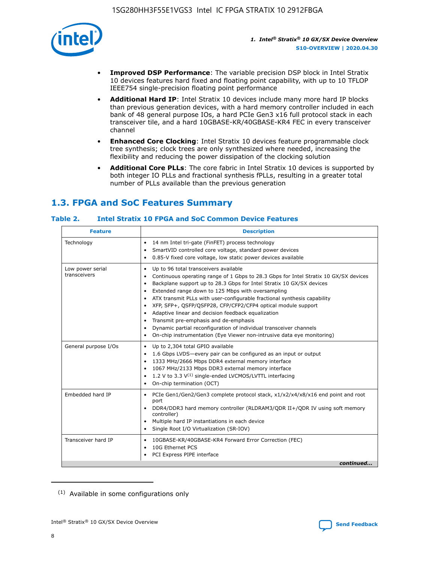

- **Improved DSP Performance**: The variable precision DSP block in Intel Stratix 10 devices features hard fixed and floating point capability, with up to 10 TFLOP IEEE754 single-precision floating point performance
- **Additional Hard IP**: Intel Stratix 10 devices include many more hard IP blocks than previous generation devices, with a hard memory controller included in each bank of 48 general purpose IOs, a hard PCIe Gen3 x16 full protocol stack in each transceiver tile, and a hard 10GBASE-KR/40GBASE-KR4 FEC in every transceiver channel
- **Enhanced Core Clocking**: Intel Stratix 10 devices feature programmable clock tree synthesis; clock trees are only synthesized where needed, increasing the flexibility and reducing the power dissipation of the clocking solution
- **Additional Core PLLs**: The core fabric in Intel Stratix 10 devices is supported by both integer IO PLLs and fractional synthesis fPLLs, resulting in a greater total number of PLLs available than the previous generation

## **1.3. FPGA and SoC Features Summary**

#### **Table 2. Intel Stratix 10 FPGA and SoC Common Device Features**

| Technology<br>14 nm Intel tri-gate (FinFET) process technology<br>$\bullet$<br>SmartVID controlled core voltage, standard power devices<br>$\bullet$<br>0.85-V fixed core voltage, low static power devices available<br>$\bullet$<br>Up to 96 total transceivers available<br>Low power serial<br>$\bullet$<br>transceivers<br>Backplane support up to 28.3 Gbps for Intel Stratix 10 GX/SX devices<br>$\bullet$<br>Extended range down to 125 Mbps with oversampling<br>$\bullet$<br>ATX transmit PLLs with user-configurable fractional synthesis capability<br>$\bullet$<br>XFP, SFP+, QSFP/QSFP28, CFP/CFP2/CFP4 optical module support<br>$\bullet$<br>• Adaptive linear and decision feedback equalization<br>Transmit pre-emphasis and de-emphasis<br>Dynamic partial reconfiguration of individual transceiver channels<br>$\bullet$<br>On-chip instrumentation (Eye Viewer non-intrusive data eye monitoring)<br>$\bullet$<br>General purpose I/Os<br>Up to 2,304 total GPIO available<br>$\bullet$<br>1.6 Gbps LVDS-every pair can be configured as an input or output<br>$\bullet$<br>1333 MHz/2666 Mbps DDR4 external memory interface<br>1067 MHz/2133 Mbps DDR3 external memory interface<br>1.2 V to 3.3 V <sup>(1)</sup> single-ended LVCMOS/LVTTL interfacing<br>$\bullet$<br>On-chip termination (OCT)<br>$\bullet$<br>Embedded hard IP<br>PCIe Gen1/Gen2/Gen3 complete protocol stack, x1/x2/x4/x8/x16 end point and root<br>$\bullet$<br>port<br>DDR4/DDR3 hard memory controller (RLDRAM3/QDR II+/QDR IV using soft memory<br>controller)<br>Multiple hard IP instantiations in each device<br>Single Root I/O Virtualization (SR-IOV) | <b>Feature</b> | <b>Description</b>                                                                   |
|--------------------------------------------------------------------------------------------------------------------------------------------------------------------------------------------------------------------------------------------------------------------------------------------------------------------------------------------------------------------------------------------------------------------------------------------------------------------------------------------------------------------------------------------------------------------------------------------------------------------------------------------------------------------------------------------------------------------------------------------------------------------------------------------------------------------------------------------------------------------------------------------------------------------------------------------------------------------------------------------------------------------------------------------------------------------------------------------------------------------------------------------------------------------------------------------------------------------------------------------------------------------------------------------------------------------------------------------------------------------------------------------------------------------------------------------------------------------------------------------------------------------------------------------------------------------------------------------------------------------------------------------------------------|----------------|--------------------------------------------------------------------------------------|
|                                                                                                                                                                                                                                                                                                                                                                                                                                                                                                                                                                                                                                                                                                                                                                                                                                                                                                                                                                                                                                                                                                                                                                                                                                                                                                                                                                                                                                                                                                                                                                                                                                                              |                |                                                                                      |
|                                                                                                                                                                                                                                                                                                                                                                                                                                                                                                                                                                                                                                                                                                                                                                                                                                                                                                                                                                                                                                                                                                                                                                                                                                                                                                                                                                                                                                                                                                                                                                                                                                                              |                | Continuous operating range of 1 Gbps to 28.3 Gbps for Intel Stratix 10 GX/SX devices |
|                                                                                                                                                                                                                                                                                                                                                                                                                                                                                                                                                                                                                                                                                                                                                                                                                                                                                                                                                                                                                                                                                                                                                                                                                                                                                                                                                                                                                                                                                                                                                                                                                                                              |                |                                                                                      |
|                                                                                                                                                                                                                                                                                                                                                                                                                                                                                                                                                                                                                                                                                                                                                                                                                                                                                                                                                                                                                                                                                                                                                                                                                                                                                                                                                                                                                                                                                                                                                                                                                                                              |                |                                                                                      |
| Transceiver hard IP<br>10GBASE-KR/40GBASE-KR4 Forward Error Correction (FEC)<br>$\bullet$<br>10G Ethernet PCS<br>$\bullet$<br>PCI Express PIPE interface<br>$\bullet$                                                                                                                                                                                                                                                                                                                                                                                                                                                                                                                                                                                                                                                                                                                                                                                                                                                                                                                                                                                                                                                                                                                                                                                                                                                                                                                                                                                                                                                                                        |                | continued                                                                            |

<sup>(1)</sup> Available in some configurations only

8

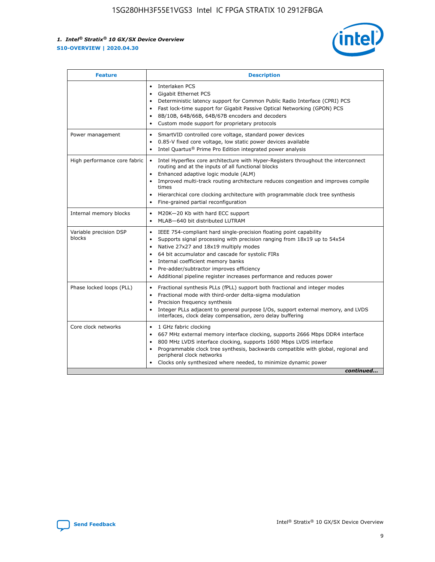

| <b>Description</b><br><b>Feature</b> |                                                                                                                                                                                                                                                                                                                                                                                                                                                                       |  |  |  |
|--------------------------------------|-----------------------------------------------------------------------------------------------------------------------------------------------------------------------------------------------------------------------------------------------------------------------------------------------------------------------------------------------------------------------------------------------------------------------------------------------------------------------|--|--|--|
|                                      | Interlaken PCS<br>$\bullet$<br>Gigabit Ethernet PCS<br>$\bullet$<br>Deterministic latency support for Common Public Radio Interface (CPRI) PCS<br>$\bullet$<br>Fast lock-time support for Gigabit Passive Optical Networking (GPON) PCS<br>$\bullet$<br>8B/10B, 64B/66B, 64B/67B encoders and decoders<br>$\bullet$<br>Custom mode support for proprietary protocols<br>$\bullet$                                                                                     |  |  |  |
| Power management                     | SmartVID controlled core voltage, standard power devices<br>$\bullet$<br>0.85-V fixed core voltage, low static power devices available<br>$\bullet$<br>Intel Quartus <sup>®</sup> Prime Pro Edition integrated power analysis<br>$\bullet$                                                                                                                                                                                                                            |  |  |  |
| High performance core fabric         | Intel Hyperflex core architecture with Hyper-Registers throughout the interconnect<br>$\bullet$<br>routing and at the inputs of all functional blocks<br>Enhanced adaptive logic module (ALM)<br>$\bullet$<br>Improved multi-track routing architecture reduces congestion and improves compile<br>times<br>Hierarchical core clocking architecture with programmable clock tree synthesis<br>Fine-grained partial reconfiguration                                    |  |  |  |
| Internal memory blocks               | M20K-20 Kb with hard ECC support<br>٠<br>MLAB-640 bit distributed LUTRAM<br>$\bullet$                                                                                                                                                                                                                                                                                                                                                                                 |  |  |  |
| Variable precision DSP<br>blocks     | IEEE 754-compliant hard single-precision floating point capability<br>$\bullet$<br>Supports signal processing with precision ranging from 18x19 up to 54x54<br>$\bullet$<br>Native 27x27 and 18x19 multiply modes<br>$\bullet$<br>64 bit accumulator and cascade for systolic FIRs<br>Internal coefficient memory banks<br>Pre-adder/subtractor improves efficiency<br>$\bullet$<br>Additional pipeline register increases performance and reduces power<br>$\bullet$ |  |  |  |
| Phase locked loops (PLL)             | Fractional synthesis PLLs (fPLL) support both fractional and integer modes<br>$\bullet$<br>Fractional mode with third-order delta-sigma modulation<br>Precision frequency synthesis<br>$\bullet$<br>Integer PLLs adjacent to general purpose I/Os, support external memory, and LVDS<br>$\bullet$<br>interfaces, clock delay compensation, zero delay buffering                                                                                                       |  |  |  |
| Core clock networks                  | 1 GHz fabric clocking<br>$\bullet$<br>667 MHz external memory interface clocking, supports 2666 Mbps DDR4 interface<br>$\bullet$<br>800 MHz LVDS interface clocking, supports 1600 Mbps LVDS interface<br>$\bullet$<br>Programmable clock tree synthesis, backwards compatible with global, regional and<br>$\bullet$<br>peripheral clock networks<br>Clocks only synthesized where needed, to minimize dynamic power<br>continued                                    |  |  |  |

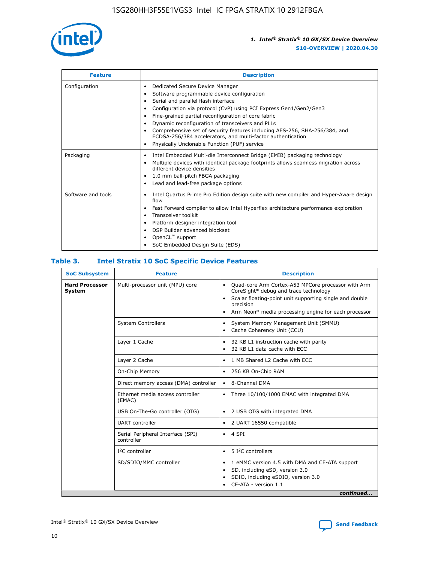

| <b>Feature</b>     | <b>Description</b>                                                                                                                                                                                                                                                                                                                                                                                                                                                                                                                                                   |  |  |
|--------------------|----------------------------------------------------------------------------------------------------------------------------------------------------------------------------------------------------------------------------------------------------------------------------------------------------------------------------------------------------------------------------------------------------------------------------------------------------------------------------------------------------------------------------------------------------------------------|--|--|
| Configuration      | Dedicated Secure Device Manager<br>$\bullet$<br>Software programmable device configuration<br>٠<br>Serial and parallel flash interface<br>٠<br>Configuration via protocol (CvP) using PCI Express Gen1/Gen2/Gen3<br>٠<br>Fine-grained partial reconfiguration of core fabric<br>$\bullet$<br>Dynamic reconfiguration of transceivers and PLLs<br>$\bullet$<br>Comprehensive set of security features including AES-256, SHA-256/384, and<br>ECDSA-256/384 accelerators, and multi-factor authentication<br>Physically Unclonable Function (PUF) service<br>$\bullet$ |  |  |
| Packaging          | Intel Embedded Multi-die Interconnect Bridge (EMIB) packaging technology<br>٠<br>Multiple devices with identical package footprints allows seamless migration across<br>$\bullet$<br>different device densities<br>1.0 mm ball-pitch FBGA packaging<br>$\bullet$<br>Lead and lead-free package options                                                                                                                                                                                                                                                               |  |  |
| Software and tools | Intel Quartus Prime Pro Edition design suite with new compiler and Hyper-Aware design<br>flow<br>Fast Forward compiler to allow Intel Hyperflex architecture performance exploration<br>$\bullet$<br>Transceiver toolkit<br>$\bullet$<br>Platform designer integration tool<br>DSP Builder advanced blockset<br>OpenCL <sup>™</sup> support<br>SoC Embedded Design Suite (EDS)                                                                                                                                                                                       |  |  |

#### **Table 3. Intel Stratix 10 SoC Specific Device Features**

| <b>Hard Processor</b><br>Multi-processor unit (MPU) core<br>Quad-core Arm Cortex-A53 MPCore processor with Arm<br>$\bullet$<br>CoreSight* debug and trace technology<br>System<br>Scalar floating-point unit supporting single and double<br>$\bullet$<br>precision<br>Arm Neon* media processing engine for each processor<br>$\bullet$<br><b>System Controllers</b><br>System Memory Management Unit (SMMU)<br>$\bullet$<br>Cache Coherency Unit (CCU)<br>$\bullet$<br>Layer 1 Cache<br>32 KB L1 instruction cache with parity<br>$\bullet$<br>32 KB L1 data cache with ECC<br>$\bullet$<br>Layer 2 Cache<br>1 MB Shared L2 Cache with ECC<br>$\bullet$<br>On-Chip Memory<br>256 KB On-Chip RAM<br>٠<br>Direct memory access (DMA) controller<br>8-Channel DMA<br>$\bullet$<br>Ethernet media access controller<br>Three 10/100/1000 EMAC with integrated DMA<br>$\bullet$<br>(EMAC)<br>USB On-The-Go controller (OTG)<br>2 USB OTG with integrated DMA<br>$\bullet$<br><b>UART</b> controller<br>2 UART 16550 compatible<br>$\bullet$<br>Serial Peripheral Interface (SPI)<br>4 SPI<br>$\bullet$<br>controller<br>$I2C$ controller<br>5 I <sup>2</sup> C controllers<br>$\bullet$<br>SD/SDIO/MMC controller<br>1 eMMC version 4.5 with DMA and CE-ATA support<br>$\bullet$<br>SD, including eSD, version 3.0<br>$\bullet$<br>SDIO, including eSDIO, version 3.0<br>$\bullet$<br>CE-ATA - version 1.1 | <b>SoC Subsystem</b> | <b>Feature</b> | <b>Description</b> |
|---------------------------------------------------------------------------------------------------------------------------------------------------------------------------------------------------------------------------------------------------------------------------------------------------------------------------------------------------------------------------------------------------------------------------------------------------------------------------------------------------------------------------------------------------------------------------------------------------------------------------------------------------------------------------------------------------------------------------------------------------------------------------------------------------------------------------------------------------------------------------------------------------------------------------------------------------------------------------------------------------------------------------------------------------------------------------------------------------------------------------------------------------------------------------------------------------------------------------------------------------------------------------------------------------------------------------------------------------------------------------------------------------------|----------------------|----------------|--------------------|
|                                                                                                                                                                                                                                                                                                                                                                                                                                                                                                                                                                                                                                                                                                                                                                                                                                                                                                                                                                                                                                                                                                                                                                                                                                                                                                                                                                                                         |                      |                |                    |
|                                                                                                                                                                                                                                                                                                                                                                                                                                                                                                                                                                                                                                                                                                                                                                                                                                                                                                                                                                                                                                                                                                                                                                                                                                                                                                                                                                                                         |                      |                |                    |
|                                                                                                                                                                                                                                                                                                                                                                                                                                                                                                                                                                                                                                                                                                                                                                                                                                                                                                                                                                                                                                                                                                                                                                                                                                                                                                                                                                                                         |                      |                |                    |
|                                                                                                                                                                                                                                                                                                                                                                                                                                                                                                                                                                                                                                                                                                                                                                                                                                                                                                                                                                                                                                                                                                                                                                                                                                                                                                                                                                                                         |                      |                |                    |
|                                                                                                                                                                                                                                                                                                                                                                                                                                                                                                                                                                                                                                                                                                                                                                                                                                                                                                                                                                                                                                                                                                                                                                                                                                                                                                                                                                                                         |                      |                |                    |
|                                                                                                                                                                                                                                                                                                                                                                                                                                                                                                                                                                                                                                                                                                                                                                                                                                                                                                                                                                                                                                                                                                                                                                                                                                                                                                                                                                                                         |                      |                |                    |
|                                                                                                                                                                                                                                                                                                                                                                                                                                                                                                                                                                                                                                                                                                                                                                                                                                                                                                                                                                                                                                                                                                                                                                                                                                                                                                                                                                                                         |                      |                |                    |
|                                                                                                                                                                                                                                                                                                                                                                                                                                                                                                                                                                                                                                                                                                                                                                                                                                                                                                                                                                                                                                                                                                                                                                                                                                                                                                                                                                                                         |                      |                |                    |
|                                                                                                                                                                                                                                                                                                                                                                                                                                                                                                                                                                                                                                                                                                                                                                                                                                                                                                                                                                                                                                                                                                                                                                                                                                                                                                                                                                                                         |                      |                |                    |
|                                                                                                                                                                                                                                                                                                                                                                                                                                                                                                                                                                                                                                                                                                                                                                                                                                                                                                                                                                                                                                                                                                                                                                                                                                                                                                                                                                                                         |                      |                |                    |
|                                                                                                                                                                                                                                                                                                                                                                                                                                                                                                                                                                                                                                                                                                                                                                                                                                                                                                                                                                                                                                                                                                                                                                                                                                                                                                                                                                                                         |                      |                |                    |
| continued                                                                                                                                                                                                                                                                                                                                                                                                                                                                                                                                                                                                                                                                                                                                                                                                                                                                                                                                                                                                                                                                                                                                                                                                                                                                                                                                                                                               |                      |                |                    |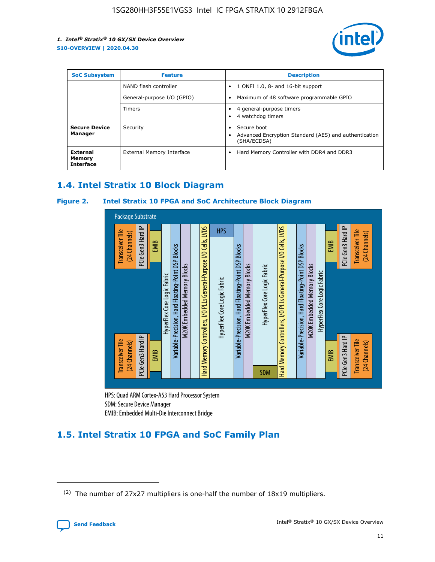

| <b>SoC Subsystem</b><br><b>Feature</b> |                            | <b>Description</b>                                                                                    |  |  |
|----------------------------------------|----------------------------|-------------------------------------------------------------------------------------------------------|--|--|
|                                        | NAND flash controller      | 1 ONFI 1.0, 8- and 16-bit support<br>$\bullet$                                                        |  |  |
|                                        | General-purpose I/O (GPIO) | Maximum of 48 software programmable GPIO<br>$\bullet$                                                 |  |  |
|                                        | Timers                     | 4 general-purpose timers<br>4 watchdog timers<br>٠                                                    |  |  |
| <b>Secure Device</b><br>Manager        | Security                   | Secure boot<br>$\bullet$<br>Advanced Encryption Standard (AES) and authentication<br>٠<br>(SHA/ECDSA) |  |  |
| External<br>Memory<br><b>Interface</b> | External Memory Interface  | Hard Memory Controller with DDR4 and DDR3<br>$\bullet$                                                |  |  |

## **1.4. Intel Stratix 10 Block Diagram**

#### **Figure 2. Intel Stratix 10 FPGA and SoC Architecture Block Diagram**



HPS: Quad ARM Cortex-A53 Hard Processor System SDM: Secure Device Manager

## **1.5. Intel Stratix 10 FPGA and SoC Family Plan**

<sup>(2)</sup> The number of 27x27 multipliers is one-half the number of 18x19 multipliers.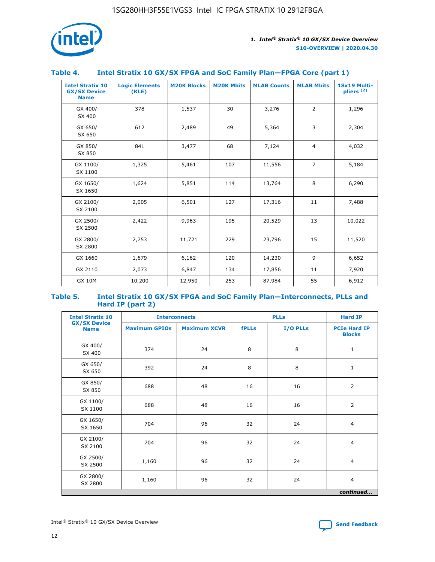

| Table 4. | Intel Stratix 10 GX/SX FPGA and SoC Family Plan-FPGA Core (part 1) |  |  |
|----------|--------------------------------------------------------------------|--|--|

| <b>Intel Stratix 10</b><br><b>GX/SX Device</b><br><b>Name</b> | <b>Logic Elements</b><br>(KLE) | <b>M20K Blocks</b> | <b>M20K Mbits</b> | <b>MLAB Counts</b> | <b>MLAB Mbits</b> | 18x19 Multi-<br>$p$ liers $(2)$ |
|---------------------------------------------------------------|--------------------------------|--------------------|-------------------|--------------------|-------------------|---------------------------------|
| GX 400/<br>SX 400                                             | 378                            | 1,537              | 30                | 3,276              | $\overline{2}$    | 1,296                           |
| GX 650/<br>SX 650                                             | 612                            | 2,489              | 49                | 5,364              | 3                 | 2,304                           |
| GX 850/<br>SX 850                                             | 841                            | 3,477              | 68                | 7,124              | $\overline{4}$    | 4,032                           |
| GX 1100/<br>SX 1100                                           | 1,325                          | 5,461              | 107               | 11,556             | $\overline{7}$    | 5,184                           |
| GX 1650/<br>SX 1650                                           | 1,624                          | 5,851              | 114               | 13,764             | 8                 | 6,290                           |
| GX 2100/<br>SX 2100                                           | 2,005                          | 6,501              | 127               | 17,316             | 11                | 7,488                           |
| GX 2500/<br>SX 2500                                           | 2,422                          | 9,963              | 195               | 20,529             | 13                | 10,022                          |
| GX 2800/<br>SX 2800                                           | 2,753                          | 11,721             | 229               | 23,796             | 15                | 11,520                          |
| GX 1660                                                       | 1,679                          | 6,162              | 120               | 14,230             | 9                 | 6,652                           |
| GX 2110                                                       | 2,073                          | 6,847              | 134               | 17,856             | 11                | 7,920                           |
| <b>GX 10M</b>                                                 | 10,200                         | 12,950             | 253               | 87,984             | 55                | 6,912                           |

#### **Table 5. Intel Stratix 10 GX/SX FPGA and SoC Family Plan—Interconnects, PLLs and Hard IP (part 2)**

| <b>Intel Stratix 10</b>            | <b>Interconnects</b> |                     | <b>PLLs</b>  |          | <b>Hard IP</b>                       |
|------------------------------------|----------------------|---------------------|--------------|----------|--------------------------------------|
| <b>GX/SX Device</b><br><b>Name</b> | <b>Maximum GPIOs</b> | <b>Maximum XCVR</b> | <b>fPLLs</b> | I/O PLLs | <b>PCIe Hard IP</b><br><b>Blocks</b> |
| GX 400/<br>SX 400                  | 374                  | 24                  | 8            | 8        | $\mathbf{1}$                         |
| GX 650/<br>SX 650                  | 392                  | 24                  | 8            | 8        | $\mathbf{1}$                         |
| GX 850/<br>SX 850                  | 688                  | 48                  | 16           | 16       | 2                                    |
| GX 1100/<br>SX 1100                | 688                  | 48                  | 16           | 16       | 2                                    |
| GX 1650/<br>SX 1650                | 704                  | 96                  | 32           | 24       | $\overline{4}$                       |
| GX 2100/<br>SX 2100                | 704                  | 96                  | 32           | 24       | $\overline{4}$                       |
| GX 2500/<br>SX 2500                | 1,160                | 96                  | 32           | 24       | $\overline{4}$                       |
| GX 2800/<br>SX 2800                | 1,160                | 96                  | 32           | 24       | $\overline{4}$                       |
|                                    |                      |                     |              |          | continued                            |

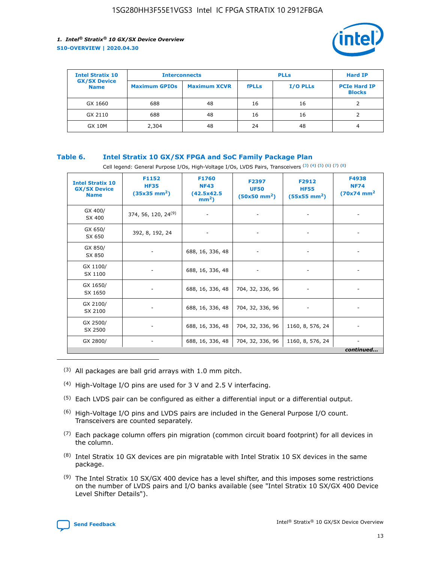

| <b>Intel Stratix 10</b>            | <b>Interconnects</b> |                     | <b>PLLs</b>  |                 | <b>Hard IP</b>                       |
|------------------------------------|----------------------|---------------------|--------------|-----------------|--------------------------------------|
| <b>GX/SX Device</b><br><b>Name</b> | <b>Maximum GPIOs</b> | <b>Maximum XCVR</b> | <b>fPLLs</b> | <b>I/O PLLs</b> | <b>PCIe Hard IP</b><br><b>Blocks</b> |
| GX 1660                            | 688                  | 48                  | 16           | 16              |                                      |
| GX 2110                            | 688                  | 48                  | 16           | 16              |                                      |
| <b>GX 10M</b>                      | 2,304                | 48                  | 24           | 48              | 4                                    |

#### **Table 6. Intel Stratix 10 GX/SX FPGA and SoC Family Package Plan**

Cell legend: General Purpose I/Os, High-Voltage I/Os, LVDS Pairs, Transceivers (3) (4) (5) (6) (7) (8)

| <b>Intel Stratix 10</b><br><b>GX/SX Device</b><br><b>Name</b> | F1152<br><b>HF35</b><br>$(35x35 \text{ mm}^2)$ | F1760<br><b>NF43</b><br>(42.5x42.5<br>$mm2$ ) | F2397<br><b>UF50</b><br>$(50x50 \text{ mm}^2)$ | F2912<br><b>HF55</b><br>$(55x55$ mm <sup>2</sup> ) | F4938<br><b>NF74</b><br>$(70x74)$ mm <sup>2</sup> |
|---------------------------------------------------------------|------------------------------------------------|-----------------------------------------------|------------------------------------------------|----------------------------------------------------|---------------------------------------------------|
| GX 400/<br>SX 400                                             | 374, 56, 120, 24 <sup>(9)</sup>                | $\overline{\phantom{a}}$                      | $\overline{\phantom{a}}$                       | ۰                                                  |                                                   |
| GX 650/<br>SX 650                                             | 392, 8, 192, 24                                | $\overline{\phantom{a}}$                      | $\overline{\phantom{a}}$                       |                                                    |                                                   |
| GX 850/<br>SX 850                                             | ۰.                                             | 688, 16, 336, 48                              |                                                |                                                    |                                                   |
| GX 1100/<br>SX 1100                                           |                                                | 688, 16, 336, 48                              |                                                |                                                    |                                                   |
| GX 1650/<br>SX 1650                                           |                                                | 688, 16, 336, 48                              | 704, 32, 336, 96                               |                                                    |                                                   |
| GX 2100/<br>SX 2100                                           | -                                              | 688, 16, 336, 48                              | 704, 32, 336, 96                               | $\overline{\phantom{a}}$                           |                                                   |
| GX 2500/<br>SX 2500                                           |                                                | 688, 16, 336, 48                              | 704, 32, 336, 96                               | 1160, 8, 576, 24                                   |                                                   |
| GX 2800/                                                      | -                                              | 688, 16, 336, 48                              | 704, 32, 336, 96                               | 1160, 8, 576, 24                                   | $\overline{\phantom{a}}$<br>continued             |

- (3) All packages are ball grid arrays with 1.0 mm pitch.
- (4) High-Voltage I/O pins are used for 3 V and 2.5 V interfacing.
- $(5)$  Each LVDS pair can be configured as either a differential input or a differential output.
- (6) High-Voltage I/O pins and LVDS pairs are included in the General Purpose I/O count. Transceivers are counted separately.
- $(7)$  Each package column offers pin migration (common circuit board footprint) for all devices in the column.
- $(8)$  Intel Stratix 10 GX devices are pin migratable with Intel Stratix 10 SX devices in the same package.
- $(9)$  The Intel Stratix 10 SX/GX 400 device has a level shifter, and this imposes some restrictions on the number of LVDS pairs and I/O banks available (see "Intel Stratix 10 SX/GX 400 Device Level Shifter Details").

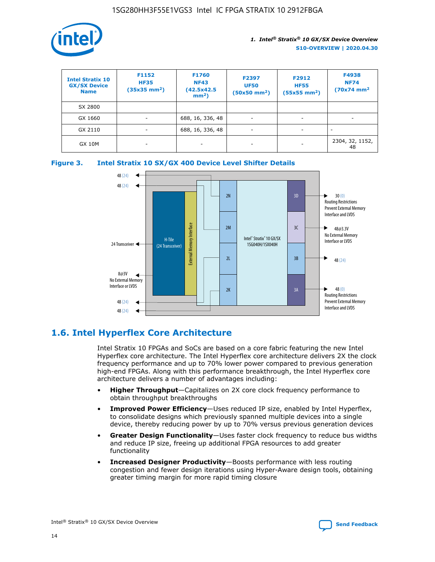

| <b>Intel Stratix 10</b><br><b>GX/SX Device</b><br><b>Name</b> | F1152<br><b>HF35</b><br>$(35x35)$ mm <sup>2</sup> ) | <b>F1760</b><br><b>NF43</b><br>(42.5x42.5<br>$mm2$ ) | F2397<br><b>UF50</b><br>$(50x50 \text{ mm}^2)$ | F2912<br><b>HF55</b><br>$(55x55$ mm <sup>2</sup> ) | F4938<br><b>NF74</b><br>$(70x74)$ mm <sup>2</sup> |
|---------------------------------------------------------------|-----------------------------------------------------|------------------------------------------------------|------------------------------------------------|----------------------------------------------------|---------------------------------------------------|
| SX 2800                                                       |                                                     |                                                      |                                                |                                                    |                                                   |
| GX 1660                                                       | -                                                   | 688, 16, 336, 48                                     | $\overline{\phantom{a}}$                       |                                                    |                                                   |
| GX 2110                                                       |                                                     | 688, 16, 336, 48                                     | $\overline{\phantom{a}}$                       |                                                    |                                                   |
| <b>GX 10M</b>                                                 | ۰                                                   |                                                      |                                                |                                                    | 2304, 32, 1152,<br>48                             |





## **1.6. Intel Hyperflex Core Architecture**

Intel Stratix 10 FPGAs and SoCs are based on a core fabric featuring the new Intel Hyperflex core architecture. The Intel Hyperflex core architecture delivers 2X the clock frequency performance and up to 70% lower power compared to previous generation high-end FPGAs. Along with this performance breakthrough, the Intel Hyperflex core architecture delivers a number of advantages including:

- **Higher Throughput**—Capitalizes on 2X core clock frequency performance to obtain throughput breakthroughs
- **Improved Power Efficiency**—Uses reduced IP size, enabled by Intel Hyperflex, to consolidate designs which previously spanned multiple devices into a single device, thereby reducing power by up to 70% versus previous generation devices
- **Greater Design Functionality**—Uses faster clock frequency to reduce bus widths and reduce IP size, freeing up additional FPGA resources to add greater functionality
- **Increased Designer Productivity**—Boosts performance with less routing congestion and fewer design iterations using Hyper-Aware design tools, obtaining greater timing margin for more rapid timing closure

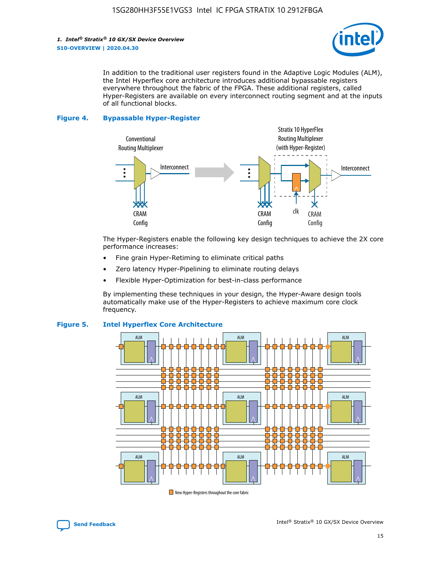*1. Intel® Stratix® 10 GX/SX Device Overview* **S10-OVERVIEW | 2020.04.30**



In addition to the traditional user registers found in the Adaptive Logic Modules (ALM), the Intel Hyperflex core architecture introduces additional bypassable registers everywhere throughout the fabric of the FPGA. These additional registers, called Hyper-Registers are available on every interconnect routing segment and at the inputs of all functional blocks.

#### **Figure 4. Bypassable Hyper-Register**



The Hyper-Registers enable the following key design techniques to achieve the 2X core performance increases:

- Fine grain Hyper-Retiming to eliminate critical paths
- Zero latency Hyper-Pipelining to eliminate routing delays
- Flexible Hyper-Optimization for best-in-class performance

By implementing these techniques in your design, the Hyper-Aware design tools automatically make use of the Hyper-Registers to achieve maximum core clock frequency.



#### **Figure 5. Intel Hyperflex Core Architecture**

New Hyper-Registers throughout the core fabric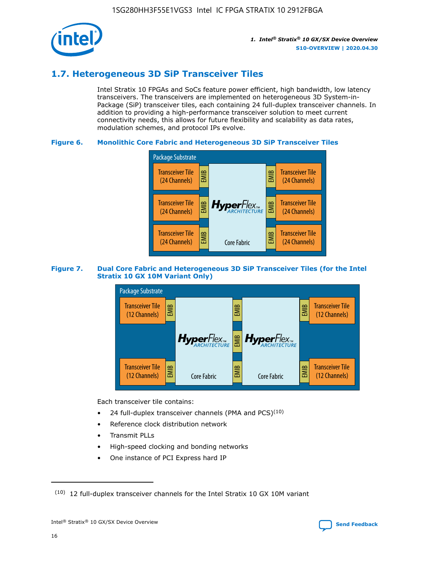

## **1.7. Heterogeneous 3D SiP Transceiver Tiles**

Intel Stratix 10 FPGAs and SoCs feature power efficient, high bandwidth, low latency transceivers. The transceivers are implemented on heterogeneous 3D System-in-Package (SiP) transceiver tiles, each containing 24 full-duplex transceiver channels. In addition to providing a high-performance transceiver solution to meet current connectivity needs, this allows for future flexibility and scalability as data rates, modulation schemes, and protocol IPs evolve.

#### **Figure 6. Monolithic Core Fabric and Heterogeneous 3D SiP Transceiver Tiles**



#### **Figure 7. Dual Core Fabric and Heterogeneous 3D SiP Transceiver Tiles (for the Intel Stratix 10 GX 10M Variant Only)**



Each transceiver tile contains:

- 24 full-duplex transceiver channels (PMA and PCS) $(10)$
- Reference clock distribution network
- Transmit PLLs
- High-speed clocking and bonding networks
- One instance of PCI Express hard IP

 $(10)$  12 full-duplex transceiver channels for the Intel Stratix 10 GX 10M variant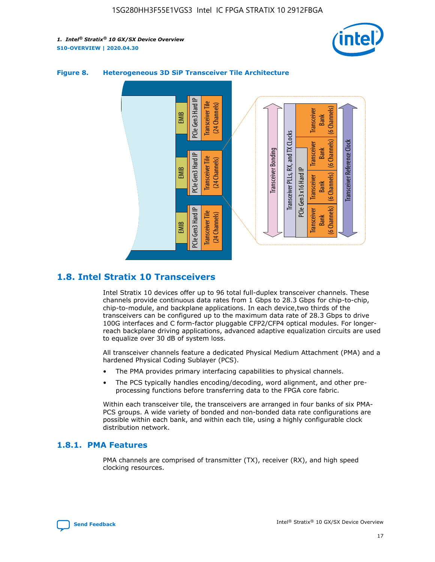



#### **Figure 8. Heterogeneous 3D SiP Transceiver Tile Architecture**

## **1.8. Intel Stratix 10 Transceivers**

Intel Stratix 10 devices offer up to 96 total full-duplex transceiver channels. These channels provide continuous data rates from 1 Gbps to 28.3 Gbps for chip-to-chip, chip-to-module, and backplane applications. In each device,two thirds of the transceivers can be configured up to the maximum data rate of 28.3 Gbps to drive 100G interfaces and C form-factor pluggable CFP2/CFP4 optical modules. For longerreach backplane driving applications, advanced adaptive equalization circuits are used to equalize over 30 dB of system loss.

All transceiver channels feature a dedicated Physical Medium Attachment (PMA) and a hardened Physical Coding Sublayer (PCS).

- The PMA provides primary interfacing capabilities to physical channels.
- The PCS typically handles encoding/decoding, word alignment, and other preprocessing functions before transferring data to the FPGA core fabric.

Within each transceiver tile, the transceivers are arranged in four banks of six PMA-PCS groups. A wide variety of bonded and non-bonded data rate configurations are possible within each bank, and within each tile, using a highly configurable clock distribution network.

#### **1.8.1. PMA Features**

PMA channels are comprised of transmitter (TX), receiver (RX), and high speed clocking resources.

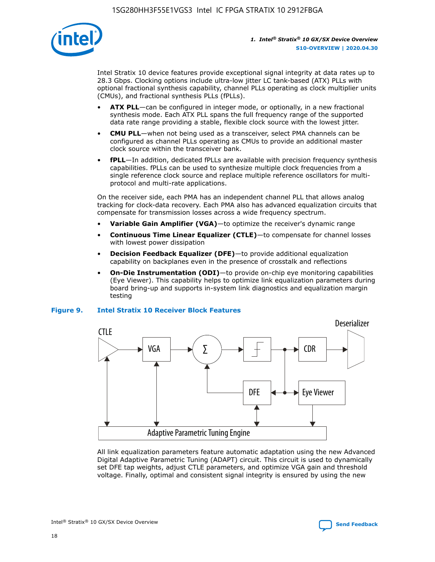

Intel Stratix 10 device features provide exceptional signal integrity at data rates up to 28.3 Gbps. Clocking options include ultra-low jitter LC tank-based (ATX) PLLs with optional fractional synthesis capability, channel PLLs operating as clock multiplier units (CMUs), and fractional synthesis PLLs (fPLLs).

- **ATX PLL**—can be configured in integer mode, or optionally, in a new fractional synthesis mode. Each ATX PLL spans the full frequency range of the supported data rate range providing a stable, flexible clock source with the lowest jitter.
- **CMU PLL**—when not being used as a transceiver, select PMA channels can be configured as channel PLLs operating as CMUs to provide an additional master clock source within the transceiver bank.
- **fPLL**—In addition, dedicated fPLLs are available with precision frequency synthesis capabilities. fPLLs can be used to synthesize multiple clock frequencies from a single reference clock source and replace multiple reference oscillators for multiprotocol and multi-rate applications.

On the receiver side, each PMA has an independent channel PLL that allows analog tracking for clock-data recovery. Each PMA also has advanced equalization circuits that compensate for transmission losses across a wide frequency spectrum.

- **Variable Gain Amplifier (VGA)**—to optimize the receiver's dynamic range
- **Continuous Time Linear Equalizer (CTLE)**—to compensate for channel losses with lowest power dissipation
- **Decision Feedback Equalizer (DFE)**—to provide additional equalization capability on backplanes even in the presence of crosstalk and reflections
- **On-Die Instrumentation (ODI)**—to provide on-chip eye monitoring capabilities (Eye Viewer). This capability helps to optimize link equalization parameters during board bring-up and supports in-system link diagnostics and equalization margin testing

#### **Figure 9. Intel Stratix 10 Receiver Block Features**



All link equalization parameters feature automatic adaptation using the new Advanced Digital Adaptive Parametric Tuning (ADAPT) circuit. This circuit is used to dynamically set DFE tap weights, adjust CTLE parameters, and optimize VGA gain and threshold voltage. Finally, optimal and consistent signal integrity is ensured by using the new



Intel<sup>®</sup> Stratix<sup>®</sup> 10 GX/SX Device Overview **[Send Feedback](mailto:FPGAtechdocfeedback@intel.com?subject=Feedback%20on%20Intel%20Stratix%2010%20GX/SX%20Device%20Overview%20(S10-OVERVIEW%202020.04.30)&body=We%20appreciate%20your%20feedback.%20In%20your%20comments,%20also%20specify%20the%20page%20number%20or%20paragraph.%20Thank%20you.)** Send Feedback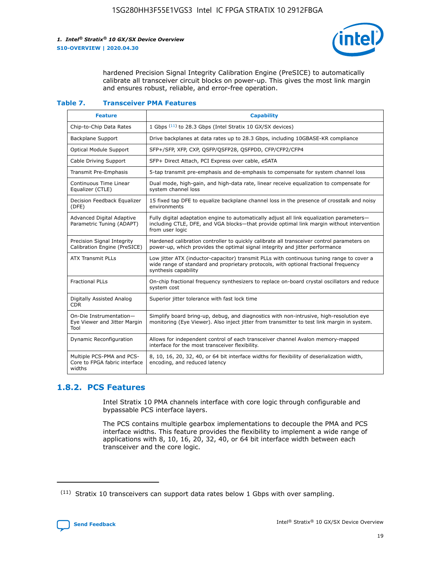

hardened Precision Signal Integrity Calibration Engine (PreSICE) to automatically calibrate all transceiver circuit blocks on power-up. This gives the most link margin and ensures robust, reliable, and error-free operation.

#### **Table 7. Transceiver PMA Features**

| <b>Feature</b>                                                       | <b>Capability</b>                                                                                                                                                                                         |
|----------------------------------------------------------------------|-----------------------------------------------------------------------------------------------------------------------------------------------------------------------------------------------------------|
| Chip-to-Chip Data Rates                                              | 1 Gbps (11) to 28.3 Gbps (Intel Stratix 10 GX/SX devices)                                                                                                                                                 |
| <b>Backplane Support</b>                                             | Drive backplanes at data rates up to 28.3 Gbps, including 10GBASE-KR compliance                                                                                                                           |
| Optical Module Support                                               | SFP+/SFP, XFP, CXP, QSFP/QSFP28, QSFPDD, CFP/CFP2/CFP4                                                                                                                                                    |
| Cable Driving Support                                                | SFP+ Direct Attach, PCI Express over cable, eSATA                                                                                                                                                         |
| <b>Transmit Pre-Emphasis</b>                                         | 5-tap transmit pre-emphasis and de-emphasis to compensate for system channel loss                                                                                                                         |
| Continuous Time Linear<br>Equalizer (CTLE)                           | Dual mode, high-gain, and high-data rate, linear receive equalization to compensate for<br>system channel loss                                                                                            |
| Decision Feedback Equalizer<br>(DFE)                                 | 15 fixed tap DFE to equalize backplane channel loss in the presence of crosstalk and noisy<br>environments                                                                                                |
| Advanced Digital Adaptive<br>Parametric Tuning (ADAPT)               | Fully digital adaptation engine to automatically adjust all link equalization parameters-<br>including CTLE, DFE, and VGA blocks-that provide optimal link margin without intervention<br>from user logic |
| Precision Signal Integrity<br>Calibration Engine (PreSICE)           | Hardened calibration controller to quickly calibrate all transceiver control parameters on<br>power-up, which provides the optimal signal integrity and jitter performance                                |
| <b>ATX Transmit PLLs</b>                                             | Low jitter ATX (inductor-capacitor) transmit PLLs with continuous tuning range to cover a<br>wide range of standard and proprietary protocols, with optional fractional frequency<br>synthesis capability |
| <b>Fractional PLLs</b>                                               | On-chip fractional frequency synthesizers to replace on-board crystal oscillators and reduce<br>system cost                                                                                               |
| Digitally Assisted Analog<br>CDR.                                    | Superior jitter tolerance with fast lock time                                                                                                                                                             |
| On-Die Instrumentation-<br>Eye Viewer and Jitter Margin<br>Tool      | Simplify board bring-up, debug, and diagnostics with non-intrusive, high-resolution eye<br>monitoring (Eye Viewer). Also inject jitter from transmitter to test link margin in system.                    |
| Dynamic Reconfiguration                                              | Allows for independent control of each transceiver channel Avalon memory-mapped<br>interface for the most transceiver flexibility.                                                                        |
| Multiple PCS-PMA and PCS-<br>Core to FPGA fabric interface<br>widths | 8, 10, 16, 20, 32, 40, or 64 bit interface widths for flexibility of deserialization width,<br>encoding, and reduced latency                                                                              |

### **1.8.2. PCS Features**

Intel Stratix 10 PMA channels interface with core logic through configurable and bypassable PCS interface layers.

The PCS contains multiple gearbox implementations to decouple the PMA and PCS interface widths. This feature provides the flexibility to implement a wide range of applications with 8, 10, 16, 20, 32, 40, or 64 bit interface width between each transceiver and the core logic.

 $(11)$  Stratix 10 transceivers can support data rates below 1 Gbps with over sampling.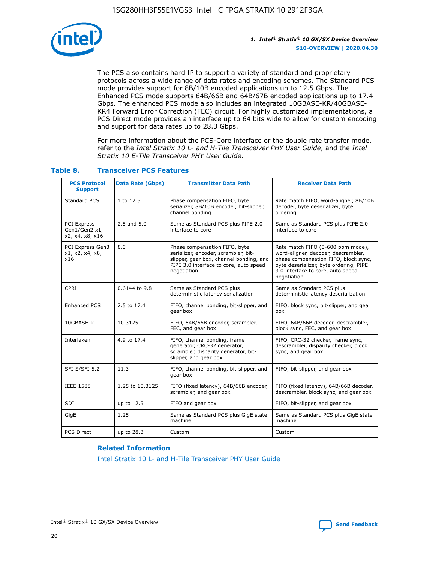

The PCS also contains hard IP to support a variety of standard and proprietary protocols across a wide range of data rates and encoding schemes. The Standard PCS mode provides support for 8B/10B encoded applications up to 12.5 Gbps. The Enhanced PCS mode supports 64B/66B and 64B/67B encoded applications up to 17.4 Gbps. The enhanced PCS mode also includes an integrated 10GBASE-KR/40GBASE-KR4 Forward Error Correction (FEC) circuit. For highly customized implementations, a PCS Direct mode provides an interface up to 64 bits wide to allow for custom encoding and support for data rates up to 28.3 Gbps.

For more information about the PCS-Core interface or the double rate transfer mode, refer to the *Intel Stratix 10 L- and H-Tile Transceiver PHY User Guide*, and the *Intel Stratix 10 E-Tile Transceiver PHY User Guide*.

| <b>PCS Protocol</b><br><b>Support</b>           | Data Rate (Gbps) | <b>Transmitter Data Path</b>                                                                                                                                              | <b>Receiver Data Path</b>                                                                                                                                                                                      |
|-------------------------------------------------|------------------|---------------------------------------------------------------------------------------------------------------------------------------------------------------------------|----------------------------------------------------------------------------------------------------------------------------------------------------------------------------------------------------------------|
| Standard PCS                                    | 1 to 12.5        | Phase compensation FIFO, byte<br>serializer, 8B/10B encoder, bit-slipper,<br>channel bonding                                                                              | Rate match FIFO, word-aligner, 8B/10B<br>decoder, byte deserializer, byte<br>ordering                                                                                                                          |
| PCI Express<br>Gen1/Gen2 x1,<br>x2, x4, x8, x16 | $2.5$ and $5.0$  | Same as Standard PCS plus PIPE 2.0<br>interface to core                                                                                                                   | Same as Standard PCS plus PIPE 2.0<br>interface to core                                                                                                                                                        |
| PCI Express Gen3<br>x1, x2, x4, x8,<br>x16      | 8.0              | Phase compensation FIFO, byte<br>serializer, encoder, scrambler, bit-<br>slipper, gear box, channel bonding, and<br>PIPE 3.0 interface to core, auto speed<br>negotiation | Rate match FIFO (0-600 ppm mode),<br>word-aligner, decoder, descrambler,<br>phase compensation FIFO, block sync,<br>byte deserializer, byte ordering, PIPE<br>3.0 interface to core, auto speed<br>negotiation |
| CPRI                                            | 0.6144 to 9.8    | Same as Standard PCS plus<br>deterministic latency serialization                                                                                                          | Same as Standard PCS plus<br>deterministic latency deserialization                                                                                                                                             |
| <b>Enhanced PCS</b>                             | 2.5 to 17.4      | FIFO, channel bonding, bit-slipper, and<br>gear box                                                                                                                       | FIFO, block sync, bit-slipper, and gear<br>box                                                                                                                                                                 |
| 10GBASE-R                                       | 10.3125          | FIFO, 64B/66B encoder, scrambler,<br>FEC, and gear box                                                                                                                    | FIFO, 64B/66B decoder, descrambler,<br>block sync, FEC, and gear box                                                                                                                                           |
| Interlaken                                      | 4.9 to 17.4      | FIFO, channel bonding, frame<br>generator, CRC-32 generator,<br>scrambler, disparity generator, bit-<br>slipper, and gear box                                             | FIFO, CRC-32 checker, frame sync,<br>descrambler, disparity checker, block<br>sync, and gear box                                                                                                               |
| SFI-S/SFI-5.2                                   | 11.3             | FIFO, channel bonding, bit-slipper, and<br>gear box                                                                                                                       | FIFO, bit-slipper, and gear box                                                                                                                                                                                |
| <b>IEEE 1588</b>                                | 1.25 to 10.3125  | FIFO (fixed latency), 64B/66B encoder,<br>scrambler, and gear box                                                                                                         | FIFO (fixed latency), 64B/66B decoder,<br>descrambler, block sync, and gear box                                                                                                                                |
| SDI                                             | up to 12.5       | FIFO and gear box                                                                                                                                                         | FIFO, bit-slipper, and gear box                                                                                                                                                                                |
| GigE                                            | 1.25             | Same as Standard PCS plus GigE state<br>machine                                                                                                                           | Same as Standard PCS plus GigE state<br>machine                                                                                                                                                                |
| <b>PCS Direct</b>                               | up to 28.3       | Custom                                                                                                                                                                    | Custom                                                                                                                                                                                                         |

#### **Table 8. Transceiver PCS Features**

#### **Related Information**

[Intel Stratix 10 L- and H-Tile Transceiver PHY User Guide](https://www.altera.com/documentation/wry1479165198810.html)

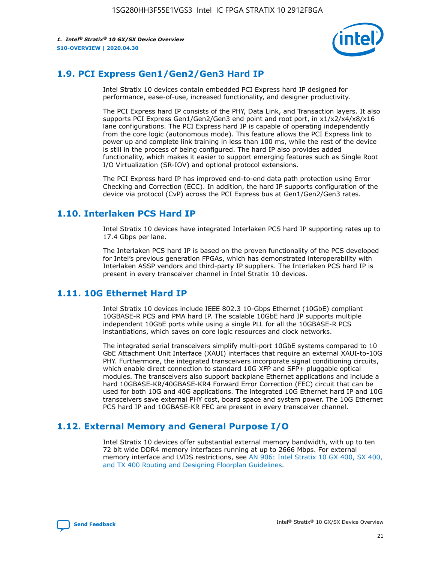

## **1.9. PCI Express Gen1/Gen2/Gen3 Hard IP**

Intel Stratix 10 devices contain embedded PCI Express hard IP designed for performance, ease-of-use, increased functionality, and designer productivity.

The PCI Express hard IP consists of the PHY, Data Link, and Transaction layers. It also supports PCI Express Gen1/Gen2/Gen3 end point and root port, in x1/x2/x4/x8/x16 lane configurations. The PCI Express hard IP is capable of operating independently from the core logic (autonomous mode). This feature allows the PCI Express link to power up and complete link training in less than 100 ms, while the rest of the device is still in the process of being configured. The hard IP also provides added functionality, which makes it easier to support emerging features such as Single Root I/O Virtualization (SR-IOV) and optional protocol extensions.

The PCI Express hard IP has improved end-to-end data path protection using Error Checking and Correction (ECC). In addition, the hard IP supports configuration of the device via protocol (CvP) across the PCI Express bus at Gen1/Gen2/Gen3 rates.

## **1.10. Interlaken PCS Hard IP**

Intel Stratix 10 devices have integrated Interlaken PCS hard IP supporting rates up to 17.4 Gbps per lane.

The Interlaken PCS hard IP is based on the proven functionality of the PCS developed for Intel's previous generation FPGAs, which has demonstrated interoperability with Interlaken ASSP vendors and third-party IP suppliers. The Interlaken PCS hard IP is present in every transceiver channel in Intel Stratix 10 devices.

## **1.11. 10G Ethernet Hard IP**

Intel Stratix 10 devices include IEEE 802.3 10-Gbps Ethernet (10GbE) compliant 10GBASE-R PCS and PMA hard IP. The scalable 10GbE hard IP supports multiple independent 10GbE ports while using a single PLL for all the 10GBASE-R PCS instantiations, which saves on core logic resources and clock networks.

The integrated serial transceivers simplify multi-port 10GbE systems compared to 10 GbE Attachment Unit Interface (XAUI) interfaces that require an external XAUI-to-10G PHY. Furthermore, the integrated transceivers incorporate signal conditioning circuits, which enable direct connection to standard 10G XFP and SFP+ pluggable optical modules. The transceivers also support backplane Ethernet applications and include a hard 10GBASE-KR/40GBASE-KR4 Forward Error Correction (FEC) circuit that can be used for both 10G and 40G applications. The integrated 10G Ethernet hard IP and 10G transceivers save external PHY cost, board space and system power. The 10G Ethernet PCS hard IP and 10GBASE-KR FEC are present in every transceiver channel.

## **1.12. External Memory and General Purpose I/O**

Intel Stratix 10 devices offer substantial external memory bandwidth, with up to ten 72 bit wide DDR4 memory interfaces running at up to 2666 Mbps. For external memory interface and LVDS restrictions, see [AN 906: Intel Stratix 10 GX 400, SX 400,](https://www.intel.com/content/www/us/en/programmable/documentation/sjf1574667190623.html#bft1574667627484) [and TX 400 Routing and Designing Floorplan Guidelines.](https://www.intel.com/content/www/us/en/programmable/documentation/sjf1574667190623.html#bft1574667627484)

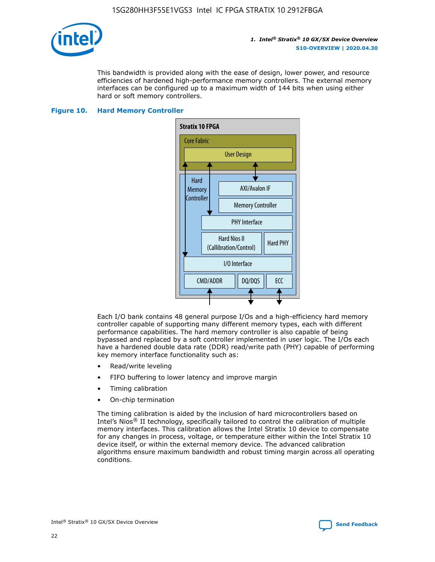

This bandwidth is provided along with the ease of design, lower power, and resource efficiencies of hardened high-performance memory controllers. The external memory interfaces can be configured up to a maximum width of 144 bits when using either hard or soft memory controllers.

#### **Figure 10. Hard Memory Controller**



Each I/O bank contains 48 general purpose I/Os and a high-efficiency hard memory controller capable of supporting many different memory types, each with different performance capabilities. The hard memory controller is also capable of being bypassed and replaced by a soft controller implemented in user logic. The I/Os each have a hardened double data rate (DDR) read/write path (PHY) capable of performing key memory interface functionality such as:

- Read/write leveling
- FIFO buffering to lower latency and improve margin
- Timing calibration
- On-chip termination

The timing calibration is aided by the inclusion of hard microcontrollers based on Intel's Nios® II technology, specifically tailored to control the calibration of multiple memory interfaces. This calibration allows the Intel Stratix 10 device to compensate for any changes in process, voltage, or temperature either within the Intel Stratix 10 device itself, or within the external memory device. The advanced calibration algorithms ensure maximum bandwidth and robust timing margin across all operating conditions.

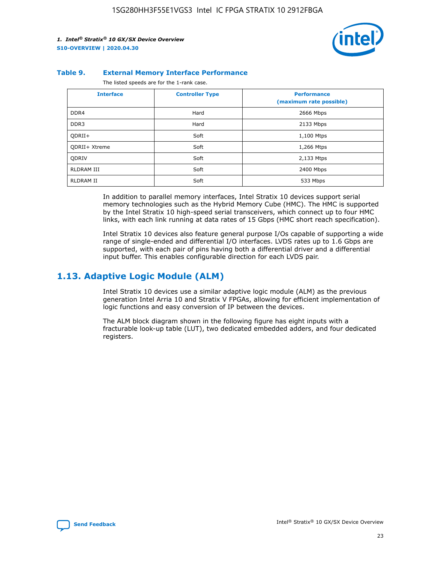

#### **Table 9. External Memory Interface Performance**

The listed speeds are for the 1-rank case.

| <b>Interface</b> | <b>Controller Type</b> | <b>Performance</b><br>(maximum rate possible) |
|------------------|------------------------|-----------------------------------------------|
| DDR4             | Hard                   | 2666 Mbps                                     |
| DDR <sub>3</sub> | Hard                   | 2133 Mbps                                     |
| QDRII+           | Soft                   | 1,100 Mtps                                    |
| QDRII+ Xtreme    | Soft                   | 1,266 Mtps                                    |
| <b>ODRIV</b>     | Soft                   | 2,133 Mtps                                    |
| RLDRAM III       | Soft                   | 2400 Mbps                                     |
| <b>RLDRAM II</b> | Soft                   | 533 Mbps                                      |

In addition to parallel memory interfaces, Intel Stratix 10 devices support serial memory technologies such as the Hybrid Memory Cube (HMC). The HMC is supported by the Intel Stratix 10 high-speed serial transceivers, which connect up to four HMC links, with each link running at data rates of 15 Gbps (HMC short reach specification).

Intel Stratix 10 devices also feature general purpose I/Os capable of supporting a wide range of single-ended and differential I/O interfaces. LVDS rates up to 1.6 Gbps are supported, with each pair of pins having both a differential driver and a differential input buffer. This enables configurable direction for each LVDS pair.

## **1.13. Adaptive Logic Module (ALM)**

Intel Stratix 10 devices use a similar adaptive logic module (ALM) as the previous generation Intel Arria 10 and Stratix V FPGAs, allowing for efficient implementation of logic functions and easy conversion of IP between the devices.

The ALM block diagram shown in the following figure has eight inputs with a fracturable look-up table (LUT), two dedicated embedded adders, and four dedicated registers.

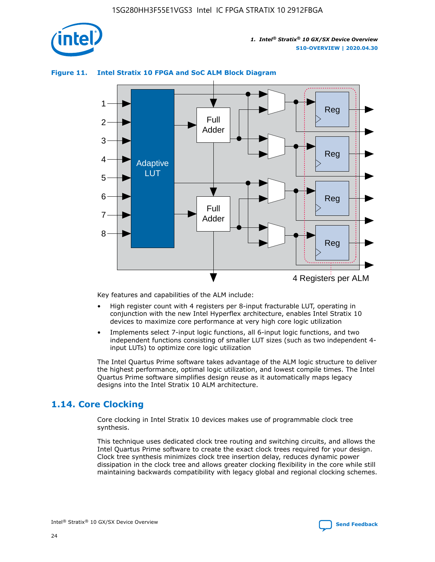

## Reg Reg 1 2 3 4 5 6 7 8 Reg Reg 4 Registers per ALM Full Adder Full Adder Adaptive **LUT**

#### **Figure 11. Intel Stratix 10 FPGA and SoC ALM Block Diagram**

Key features and capabilities of the ALM include:

- High register count with 4 registers per 8-input fracturable LUT, operating in conjunction with the new Intel Hyperflex architecture, enables Intel Stratix 10 devices to maximize core performance at very high core logic utilization
- Implements select 7-input logic functions, all 6-input logic functions, and two independent functions consisting of smaller LUT sizes (such as two independent 4 input LUTs) to optimize core logic utilization

The Intel Quartus Prime software takes advantage of the ALM logic structure to deliver the highest performance, optimal logic utilization, and lowest compile times. The Intel Quartus Prime software simplifies design reuse as it automatically maps legacy designs into the Intel Stratix 10 ALM architecture.

## **1.14. Core Clocking**

Core clocking in Intel Stratix 10 devices makes use of programmable clock tree synthesis.

This technique uses dedicated clock tree routing and switching circuits, and allows the Intel Quartus Prime software to create the exact clock trees required for your design. Clock tree synthesis minimizes clock tree insertion delay, reduces dynamic power dissipation in the clock tree and allows greater clocking flexibility in the core while still maintaining backwards compatibility with legacy global and regional clocking schemes.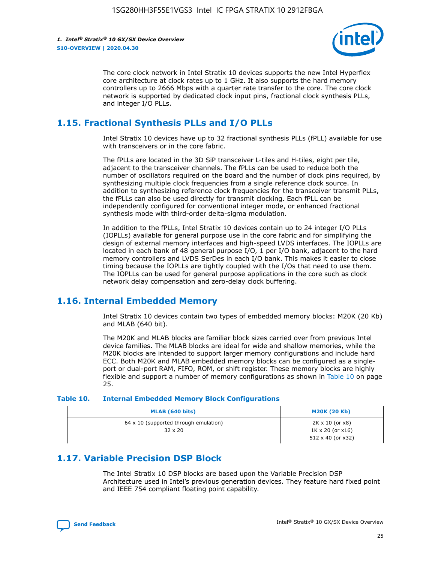

The core clock network in Intel Stratix 10 devices supports the new Intel Hyperflex core architecture at clock rates up to 1 GHz. It also supports the hard memory controllers up to 2666 Mbps with a quarter rate transfer to the core. The core clock network is supported by dedicated clock input pins, fractional clock synthesis PLLs, and integer I/O PLLs.

## **1.15. Fractional Synthesis PLLs and I/O PLLs**

Intel Stratix 10 devices have up to 32 fractional synthesis PLLs (fPLL) available for use with transceivers or in the core fabric.

The fPLLs are located in the 3D SiP transceiver L-tiles and H-tiles, eight per tile, adjacent to the transceiver channels. The fPLLs can be used to reduce both the number of oscillators required on the board and the number of clock pins required, by synthesizing multiple clock frequencies from a single reference clock source. In addition to synthesizing reference clock frequencies for the transceiver transmit PLLs, the fPLLs can also be used directly for transmit clocking. Each fPLL can be independently configured for conventional integer mode, or enhanced fractional synthesis mode with third-order delta-sigma modulation.

In addition to the fPLLs, Intel Stratix 10 devices contain up to 24 integer I/O PLLs (IOPLLs) available for general purpose use in the core fabric and for simplifying the design of external memory interfaces and high-speed LVDS interfaces. The IOPLLs are located in each bank of 48 general purpose I/O, 1 per I/O bank, adjacent to the hard memory controllers and LVDS SerDes in each I/O bank. This makes it easier to close timing because the IOPLLs are tightly coupled with the I/Os that need to use them. The IOPLLs can be used for general purpose applications in the core such as clock network delay compensation and zero-delay clock buffering.

## **1.16. Internal Embedded Memory**

Intel Stratix 10 devices contain two types of embedded memory blocks: M20K (20 Kb) and MLAB (640 bit).

The M20K and MLAB blocks are familiar block sizes carried over from previous Intel device families. The MLAB blocks are ideal for wide and shallow memories, while the M20K blocks are intended to support larger memory configurations and include hard ECC. Both M20K and MLAB embedded memory blocks can be configured as a singleport or dual-port RAM, FIFO, ROM, or shift register. These memory blocks are highly flexible and support a number of memory configurations as shown in Table 10 on page 25.

#### **Table 10. Internal Embedded Memory Block Configurations**

| MLAB (640 bits)                                                | <b>M20K (20 Kb)</b>                                                                    |
|----------------------------------------------------------------|----------------------------------------------------------------------------------------|
| $64 \times 10$ (supported through emulation)<br>$32 \times 20$ | $2K \times 10$ (or $x8$ )<br>$1K \times 20$ (or $x16$ )<br>$512 \times 40$ (or $x32$ ) |

## **1.17. Variable Precision DSP Block**

The Intel Stratix 10 DSP blocks are based upon the Variable Precision DSP Architecture used in Intel's previous generation devices. They feature hard fixed point and IEEE 754 compliant floating point capability.

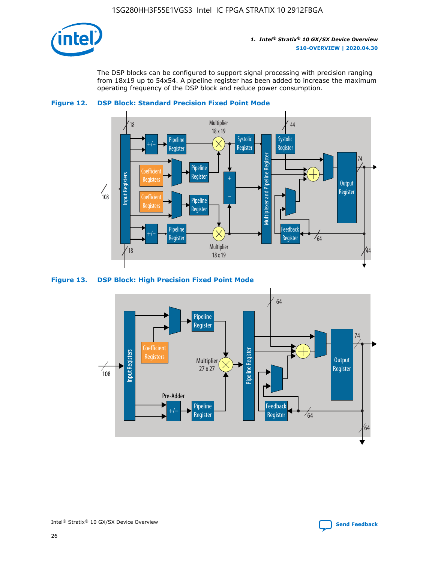

The DSP blocks can be configured to support signal processing with precision ranging from 18x19 up to 54x54. A pipeline register has been added to increase the maximum operating frequency of the DSP block and reduce power consumption.





#### **Figure 13. DSP Block: High Precision Fixed Point Mode**



Intel<sup>®</sup> Stratix<sup>®</sup> 10 GX/SX Device Overview **[Send Feedback](mailto:FPGAtechdocfeedback@intel.com?subject=Feedback%20on%20Intel%20Stratix%2010%20GX/SX%20Device%20Overview%20(S10-OVERVIEW%202020.04.30)&body=We%20appreciate%20your%20feedback.%20In%20your%20comments,%20also%20specify%20the%20page%20number%20or%20paragraph.%20Thank%20you.)** Send Feedback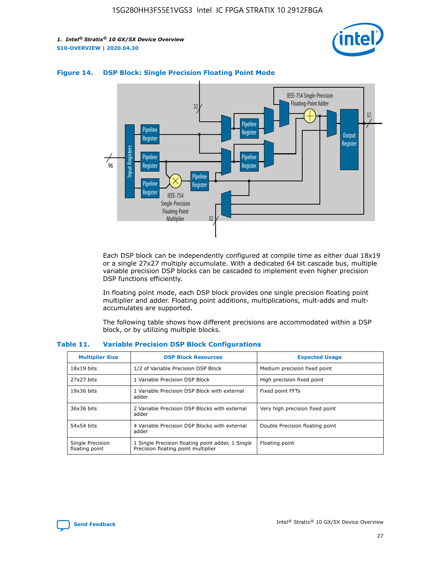



#### **Figure 14. DSP Block: Single Precision Floating Point Mode**

Each DSP block can be independently configured at compile time as either dual 18x19 or a single 27x27 multiply accumulate. With a dedicated 64 bit cascade bus, multiple variable precision DSP blocks can be cascaded to implement even higher precision DSP functions efficiently.

In floating point mode, each DSP block provides one single precision floating point multiplier and adder. Floating point additions, multiplications, mult-adds and multaccumulates are supported.

The following table shows how different precisions are accommodated within a DSP block, or by utilizing multiple blocks.

| <b>Multiplier Size</b>             | <b>DSP Block Resources</b>                                                               | <b>Expected Usage</b>           |
|------------------------------------|------------------------------------------------------------------------------------------|---------------------------------|
| $18x19$ bits                       | 1/2 of Variable Precision DSP Block                                                      | Medium precision fixed point    |
| 27x27 bits                         | 1 Variable Precision DSP Block                                                           | High precision fixed point      |
| $19x36$ bits                       | 1 Variable Precision DSP Block with external<br>adder                                    | Fixed point FFTs                |
| 36x36 bits                         | 2 Variable Precision DSP Blocks with external<br>adder                                   | Very high precision fixed point |
| 54x54 bits                         | 4 Variable Precision DSP Blocks with external<br>adder                                   | Double Precision floating point |
| Single Precision<br>floating point | 1 Single Precision floating point adder, 1 Single<br>Precision floating point multiplier | Floating point                  |

#### **Table 11. Variable Precision DSP Block Configurations**

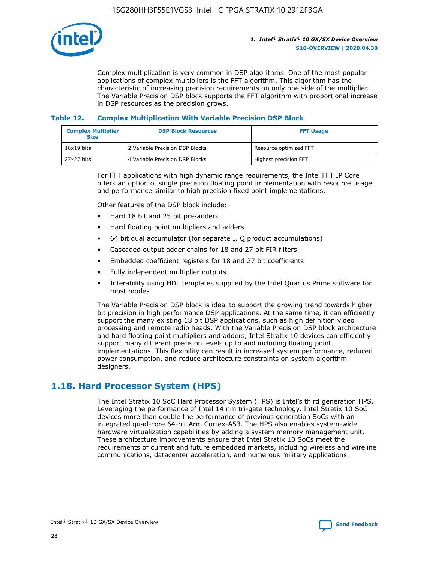

Complex multiplication is very common in DSP algorithms. One of the most popular applications of complex multipliers is the FFT algorithm. This algorithm has the characteristic of increasing precision requirements on only one side of the multiplier. The Variable Precision DSP block supports the FFT algorithm with proportional increase in DSP resources as the precision grows.

#### **Table 12. Complex Multiplication With Variable Precision DSP Block**

| <b>Complex Multiplier</b><br><b>Size</b> | <b>DSP Block Resources</b>      | <b>FFT Usage</b>       |
|------------------------------------------|---------------------------------|------------------------|
| $18x19$ bits                             | 2 Variable Precision DSP Blocks | Resource optimized FFT |
| 27x27 bits                               | 4 Variable Precision DSP Blocks | Highest precision FFT  |

For FFT applications with high dynamic range requirements, the Intel FFT IP Core offers an option of single precision floating point implementation with resource usage and performance similar to high precision fixed point implementations.

Other features of the DSP block include:

- Hard 18 bit and 25 bit pre-adders
- Hard floating point multipliers and adders
- 64 bit dual accumulator (for separate I, Q product accumulations)
- Cascaded output adder chains for 18 and 27 bit FIR filters
- Embedded coefficient registers for 18 and 27 bit coefficients
- Fully independent multiplier outputs
- Inferability using HDL templates supplied by the Intel Quartus Prime software for most modes

The Variable Precision DSP block is ideal to support the growing trend towards higher bit precision in high performance DSP applications. At the same time, it can efficiently support the many existing 18 bit DSP applications, such as high definition video processing and remote radio heads. With the Variable Precision DSP block architecture and hard floating point multipliers and adders, Intel Stratix 10 devices can efficiently support many different precision levels up to and including floating point implementations. This flexibility can result in increased system performance, reduced power consumption, and reduce architecture constraints on system algorithm designers.

## **1.18. Hard Processor System (HPS)**

The Intel Stratix 10 SoC Hard Processor System (HPS) is Intel's third generation HPS. Leveraging the performance of Intel 14 nm tri-gate technology, Intel Stratix 10 SoC devices more than double the performance of previous generation SoCs with an integrated quad-core 64-bit Arm Cortex-A53. The HPS also enables system-wide hardware virtualization capabilities by adding a system memory management unit. These architecture improvements ensure that Intel Stratix 10 SoCs meet the requirements of current and future embedded markets, including wireless and wireline communications, datacenter acceleration, and numerous military applications.

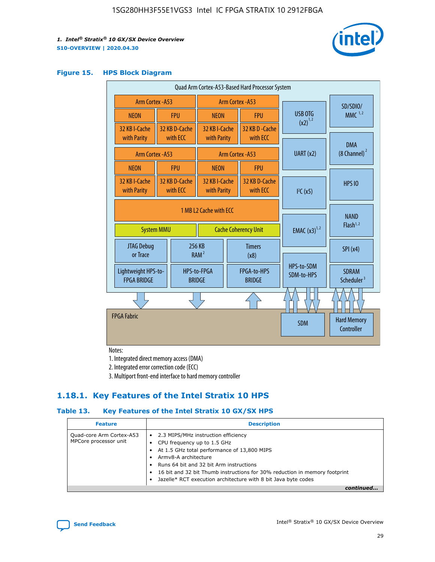

#### **Figure 15. HPS Block Diagram**

| Quad Arm Cortex-A53-Based Hard Processor System |  |                           |                                             |  |                           |                          |                                        |                                  |
|-------------------------------------------------|--|---------------------------|---------------------------------------------|--|---------------------------|--------------------------|----------------------------------------|----------------------------------|
| <b>Arm Cortex - A53</b>                         |  |                           | Arm Cortex - A53                            |  |                           | SD/SDIO/                 |                                        |                                  |
| <b>NEON</b>                                     |  | <b>FPU</b>                | <b>NEON</b>                                 |  | <b>FPU</b>                |                          | USB OTG                                | $MMC$ <sup>1,2</sup>             |
| 32 KB I-Cache                                   |  | 32 KB D-Cache             | 32 KB I-Cache                               |  | 32 KB D - Cache           |                          | $(x2)^{1,2}$                           |                                  |
| with Parity                                     |  | with ECC                  | with Parity                                 |  | with ECC                  |                          |                                        | <b>DMA</b>                       |
| Arm Cortex - A53                                |  |                           |                                             |  | Arm Cortex - A53          |                          | UART (x2)                              | $(8 \text{ Channel})^2$          |
| <b>NEON</b>                                     |  | <b>FPU</b>                | <b>NEON</b>                                 |  | <b>FPU</b>                |                          |                                        |                                  |
| 32 KB I-Cache<br>with Parity                    |  | 32 KB D-Cache<br>with ECC | 32 KB I-Cache<br>with Parity                |  | 32 KB D-Cache<br>with ECC |                          | I <sup>2</sup> C(x5)                   | <b>HPS 10</b>                    |
| 1 MB L2 Cache with ECC                          |  |                           |                                             |  |                           |                          |                                        |                                  |
| <b>System MMU</b>                               |  |                           | <b>Cache Coherency Unit</b>                 |  |                           | <b>EMAC</b> $(x3)^{1,2}$ | <b>NAND</b><br>Flash <sup>1,2</sup>    |                                  |
| JTAG Debug<br>or Trace                          |  |                           | 256 KB<br>RAM <sup>2</sup>                  |  | <b>Timers</b><br>(x8)     |                          |                                        | SPI(x4)                          |
| Lightweight HPS-to-<br><b>FPGA BRIDGE</b>       |  | <b>BRIDGE</b>             | HPS-to-FPGA<br>FPGA-to-HPS<br><b>BRIDGE</b> |  |                           | HPS-to-SDM<br>SDM-to-HPS | <b>SDRAM</b><br>Scheduler <sup>3</sup> |                                  |
|                                                 |  |                           |                                             |  |                           |                          |                                        |                                  |
| <b>FPGA Fabric</b>                              |  |                           |                                             |  |                           |                          | <b>SDM</b>                             | <b>Hard Memory</b><br>Controller |
|                                                 |  |                           |                                             |  |                           |                          |                                        |                                  |

Notes:

1. Integrated direct memory access (DMA)

2. Integrated error correction code (ECC)

3. Multiport front-end interface to hard memory controller

## **1.18.1. Key Features of the Intel Stratix 10 HPS**

#### **Table 13. Key Features of the Intel Stratix 10 GX/SX HPS**

| <b>Feature</b>                                    | <b>Description</b>                                                                                                                                                                                                                                                                                                                                     |
|---------------------------------------------------|--------------------------------------------------------------------------------------------------------------------------------------------------------------------------------------------------------------------------------------------------------------------------------------------------------------------------------------------------------|
| Quad-core Arm Cortex-A53<br>MPCore processor unit | 2.3 MIPS/MHz instruction efficiency<br>$\bullet$<br>CPU frequency up to 1.5 GHz<br>٠<br>At 1.5 GHz total performance of 13,800 MIPS<br>Army8-A architecture<br>Runs 64 bit and 32 bit Arm instructions<br>16 bit and 32 bit Thumb instructions for 30% reduction in memory footprint<br>Jazelle* RCT execution architecture with 8 bit Java byte codes |
|                                                   |                                                                                                                                                                                                                                                                                                                                                        |

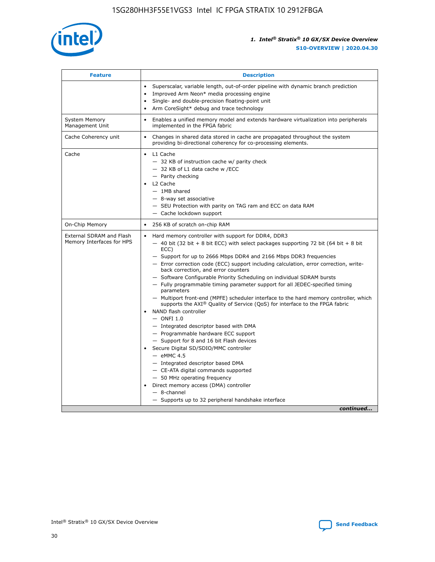

| <b>Feature</b>                                        | <b>Description</b>                                                                                                                                                                                                                                                                                                                                                                                                                                                                                                                                                                                                                                                                                                                                                                                                                                                                                                                                                                                                                                                                                                                                                                                                       |
|-------------------------------------------------------|--------------------------------------------------------------------------------------------------------------------------------------------------------------------------------------------------------------------------------------------------------------------------------------------------------------------------------------------------------------------------------------------------------------------------------------------------------------------------------------------------------------------------------------------------------------------------------------------------------------------------------------------------------------------------------------------------------------------------------------------------------------------------------------------------------------------------------------------------------------------------------------------------------------------------------------------------------------------------------------------------------------------------------------------------------------------------------------------------------------------------------------------------------------------------------------------------------------------------|
|                                                       | Superscalar, variable length, out-of-order pipeline with dynamic branch prediction<br>Improved Arm Neon* media processing engine<br>$\bullet$<br>Single- and double-precision floating-point unit<br>Arm CoreSight* debug and trace technology                                                                                                                                                                                                                                                                                                                                                                                                                                                                                                                                                                                                                                                                                                                                                                                                                                                                                                                                                                           |
| <b>System Memory</b><br>Management Unit               | Enables a unified memory model and extends hardware virtualization into peripherals<br>$\bullet$<br>implemented in the FPGA fabric                                                                                                                                                                                                                                                                                                                                                                                                                                                                                                                                                                                                                                                                                                                                                                                                                                                                                                                                                                                                                                                                                       |
| Cache Coherency unit                                  | Changes in shared data stored in cache are propagated throughout the system<br>$\bullet$<br>providing bi-directional coherency for co-processing elements.                                                                                                                                                                                                                                                                                                                                                                                                                                                                                                                                                                                                                                                                                                                                                                                                                                                                                                                                                                                                                                                               |
| Cache                                                 | L1 Cache<br>$\bullet$<br>- 32 KB of instruction cache w/ parity check<br>- 32 KB of L1 data cache w /ECC<br>- Parity checking<br>L2 Cache<br>$-$ 1MB shared<br>- 8-way set associative<br>- SEU Protection with parity on TAG ram and ECC on data RAM<br>- Cache lockdown support                                                                                                                                                                                                                                                                                                                                                                                                                                                                                                                                                                                                                                                                                                                                                                                                                                                                                                                                        |
| On-Chip Memory                                        | 256 KB of scratch on-chip RAM<br>$\bullet$                                                                                                                                                                                                                                                                                                                                                                                                                                                                                                                                                                                                                                                                                                                                                                                                                                                                                                                                                                                                                                                                                                                                                                               |
| External SDRAM and Flash<br>Memory Interfaces for HPS | Hard memory controller with support for DDR4, DDR3<br>$\bullet$<br>$-$ 40 bit (32 bit + 8 bit ECC) with select packages supporting 72 bit (64 bit + 8 bit<br>ECC)<br>- Support for up to 2666 Mbps DDR4 and 2166 Mbps DDR3 frequencies<br>- Error correction code (ECC) support including calculation, error correction, write-<br>back correction, and error counters<br>- Software Configurable Priority Scheduling on individual SDRAM bursts<br>- Fully programmable timing parameter support for all JEDEC-specified timing<br>parameters<br>- Multiport front-end (MPFE) scheduler interface to the hard memory controller, which<br>supports the $AXI^{\circledR}$ Quality of Service (QoS) for interface to the FPGA fabric<br>NAND flash controller<br>$-$ ONFI 1.0<br>- Integrated descriptor based with DMA<br>- Programmable hardware ECC support<br>- Support for 8 and 16 bit Flash devices<br>Secure Digital SD/SDIO/MMC controller<br>$-$ eMMC 4.5<br>- Integrated descriptor based DMA<br>- CE-ATA digital commands supported<br>- 50 MHz operating frequency<br>Direct memory access (DMA) controller<br>$\bullet$<br>$-$ 8-channel<br>- Supports up to 32 peripheral handshake interface<br>continued |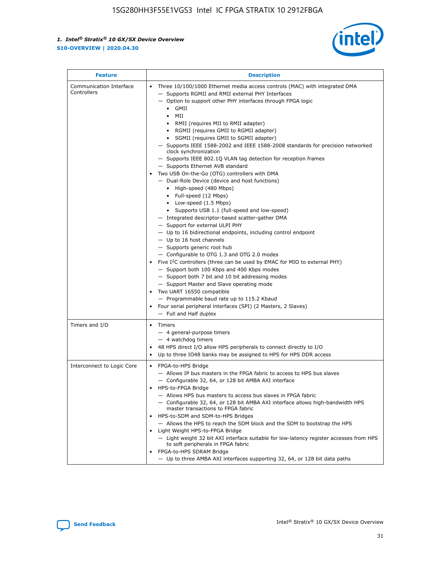

| <b>Feature</b>                         | <b>Description</b>                                                                                                                                                                                                                                                                                                                                                                                                                                                                                                                                                                                                                                                                                                                                                                                                                                                                                                                                                                                                                                                                                                                                                                                                                                                                                                                                                                                                                                                                           |
|----------------------------------------|----------------------------------------------------------------------------------------------------------------------------------------------------------------------------------------------------------------------------------------------------------------------------------------------------------------------------------------------------------------------------------------------------------------------------------------------------------------------------------------------------------------------------------------------------------------------------------------------------------------------------------------------------------------------------------------------------------------------------------------------------------------------------------------------------------------------------------------------------------------------------------------------------------------------------------------------------------------------------------------------------------------------------------------------------------------------------------------------------------------------------------------------------------------------------------------------------------------------------------------------------------------------------------------------------------------------------------------------------------------------------------------------------------------------------------------------------------------------------------------------|
| Communication Interface<br>Controllers | Three 10/100/1000 Ethernet media access controls (MAC) with integrated DMA<br>- Supports RGMII and RMII external PHY Interfaces<br>- Option to support other PHY interfaces through FPGA logic<br>$\bullet$ GMII<br>MII<br>$\bullet$<br>RMII (requires MII to RMII adapter)<br>• RGMII (requires GMII to RGMII adapter)<br>SGMII (requires GMII to SGMII adapter)<br>- Supports IEEE 1588-2002 and IEEE 1588-2008 standards for precision networked<br>clock synchronization<br>- Supports IEEE 802.1Q VLAN tag detection for reception frames<br>- Supports Ethernet AVB standard<br>Two USB On-the-Go (OTG) controllers with DMA<br>- Dual-Role Device (device and host functions)<br>• High-speed (480 Mbps)<br>• Full-speed (12 Mbps)<br>• Low-speed (1.5 Mbps)<br>• Supports USB 1.1 (full-speed and low-speed)<br>- Integrated descriptor-based scatter-gather DMA<br>- Support for external ULPI PHY<br>- Up to 16 bidirectional endpoints, including control endpoint<br>$-$ Up to 16 host channels<br>- Supports generic root hub<br>- Configurable to OTG 1.3 and OTG 2.0 modes<br>Five $I2C$ controllers (three can be used by EMAC for MIO to external PHY)<br>- Support both 100 Kbps and 400 Kbps modes<br>- Support both 7 bit and 10 bit addressing modes<br>- Support Master and Slave operating mode<br>Two UART 16550 compatible<br>- Programmable baud rate up to 115.2 Kbaud<br>Four serial peripheral interfaces (SPI) (2 Masters, 2 Slaves)<br>- Full and Half duplex |
| Timers and I/O                         | Timers<br>- 4 general-purpose timers<br>$-4$ watchdog timers<br>48 HPS direct I/O allow HPS peripherals to connect directly to I/O<br>Up to three IO48 banks may be assigned to HPS for HPS DDR access                                                                                                                                                                                                                                                                                                                                                                                                                                                                                                                                                                                                                                                                                                                                                                                                                                                                                                                                                                                                                                                                                                                                                                                                                                                                                       |
| Interconnect to Logic Core             | • FPGA-to-HPS Bridge<br>- Allows IP bus masters in the FPGA fabric to access to HPS bus slaves<br>- Configurable 32, 64, or 128 bit AMBA AXI interface<br>HPS-to-FPGA Bridge<br>- Allows HPS bus masters to access bus slaves in FPGA fabric<br>- Configurable 32, 64, or 128 bit AMBA AXI interface allows high-bandwidth HPS<br>master transactions to FPGA fabric<br>HPS-to-SDM and SDM-to-HPS Bridges<br>- Allows the HPS to reach the SDM block and the SDM to bootstrap the HPS<br>Light Weight HPS-to-FPGA Bridge<br>- Light weight 32 bit AXI interface suitable for low-latency register accesses from HPS<br>to soft peripherals in FPGA fabric<br>FPGA-to-HPS SDRAM Bridge<br>- Up to three AMBA AXI interfaces supporting 32, 64, or 128 bit data paths                                                                                                                                                                                                                                                                                                                                                                                                                                                                                                                                                                                                                                                                                                                          |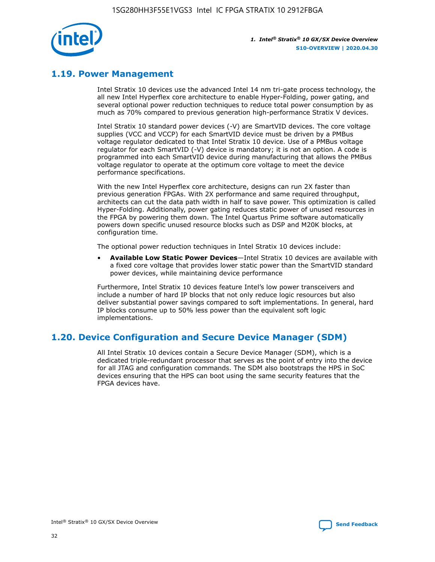

## **1.19. Power Management**

Intel Stratix 10 devices use the advanced Intel 14 nm tri-gate process technology, the all new Intel Hyperflex core architecture to enable Hyper-Folding, power gating, and several optional power reduction techniques to reduce total power consumption by as much as 70% compared to previous generation high-performance Stratix V devices.

Intel Stratix 10 standard power devices (-V) are SmartVID devices. The core voltage supplies (VCC and VCCP) for each SmartVID device must be driven by a PMBus voltage regulator dedicated to that Intel Stratix 10 device. Use of a PMBus voltage regulator for each SmartVID (-V) device is mandatory; it is not an option. A code is programmed into each SmartVID device during manufacturing that allows the PMBus voltage regulator to operate at the optimum core voltage to meet the device performance specifications.

With the new Intel Hyperflex core architecture, designs can run 2X faster than previous generation FPGAs. With 2X performance and same required throughput, architects can cut the data path width in half to save power. This optimization is called Hyper-Folding. Additionally, power gating reduces static power of unused resources in the FPGA by powering them down. The Intel Quartus Prime software automatically powers down specific unused resource blocks such as DSP and M20K blocks, at configuration time.

The optional power reduction techniques in Intel Stratix 10 devices include:

• **Available Low Static Power Devices**—Intel Stratix 10 devices are available with a fixed core voltage that provides lower static power than the SmartVID standard power devices, while maintaining device performance

Furthermore, Intel Stratix 10 devices feature Intel's low power transceivers and include a number of hard IP blocks that not only reduce logic resources but also deliver substantial power savings compared to soft implementations. In general, hard IP blocks consume up to 50% less power than the equivalent soft logic implementations.

## **1.20. Device Configuration and Secure Device Manager (SDM)**

All Intel Stratix 10 devices contain a Secure Device Manager (SDM), which is a dedicated triple-redundant processor that serves as the point of entry into the device for all JTAG and configuration commands. The SDM also bootstraps the HPS in SoC devices ensuring that the HPS can boot using the same security features that the FPGA devices have.

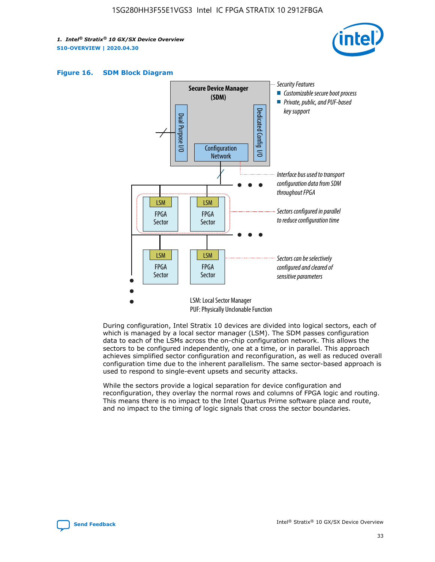





During configuration, Intel Stratix 10 devices are divided into logical sectors, each of which is managed by a local sector manager (LSM). The SDM passes configuration data to each of the LSMs across the on-chip configuration network. This allows the sectors to be configured independently, one at a time, or in parallel. This approach achieves simplified sector configuration and reconfiguration, as well as reduced overall configuration time due to the inherent parallelism. The same sector-based approach is used to respond to single-event upsets and security attacks.

While the sectors provide a logical separation for device configuration and reconfiguration, they overlay the normal rows and columns of FPGA logic and routing. This means there is no impact to the Intel Quartus Prime software place and route, and no impact to the timing of logic signals that cross the sector boundaries.

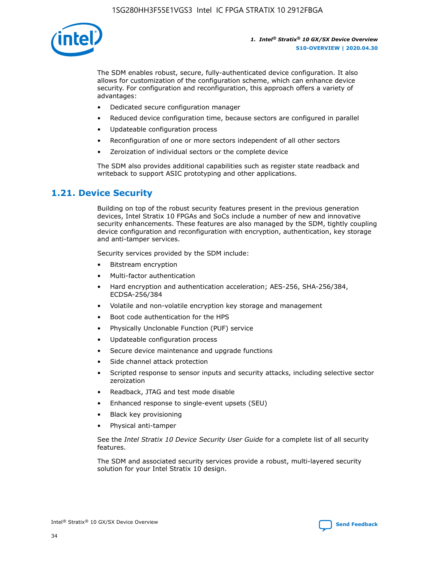

The SDM enables robust, secure, fully-authenticated device configuration. It also allows for customization of the configuration scheme, which can enhance device security. For configuration and reconfiguration, this approach offers a variety of advantages:

- Dedicated secure configuration manager
- Reduced device configuration time, because sectors are configured in parallel
- Updateable configuration process
- Reconfiguration of one or more sectors independent of all other sectors
- Zeroization of individual sectors or the complete device

The SDM also provides additional capabilities such as register state readback and writeback to support ASIC prototyping and other applications.

## **1.21. Device Security**

Building on top of the robust security features present in the previous generation devices, Intel Stratix 10 FPGAs and SoCs include a number of new and innovative security enhancements. These features are also managed by the SDM, tightly coupling device configuration and reconfiguration with encryption, authentication, key storage and anti-tamper services.

Security services provided by the SDM include:

- Bitstream encryption
- Multi-factor authentication
- Hard encryption and authentication acceleration; AES-256, SHA-256/384, ECDSA-256/384
- Volatile and non-volatile encryption key storage and management
- Boot code authentication for the HPS
- Physically Unclonable Function (PUF) service
- Updateable configuration process
- Secure device maintenance and upgrade functions
- Side channel attack protection
- Scripted response to sensor inputs and security attacks, including selective sector zeroization
- Readback, JTAG and test mode disable
- Enhanced response to single-event upsets (SEU)
- Black key provisioning
- Physical anti-tamper

See the *Intel Stratix 10 Device Security User Guide* for a complete list of all security features.

The SDM and associated security services provide a robust, multi-layered security solution for your Intel Stratix 10 design.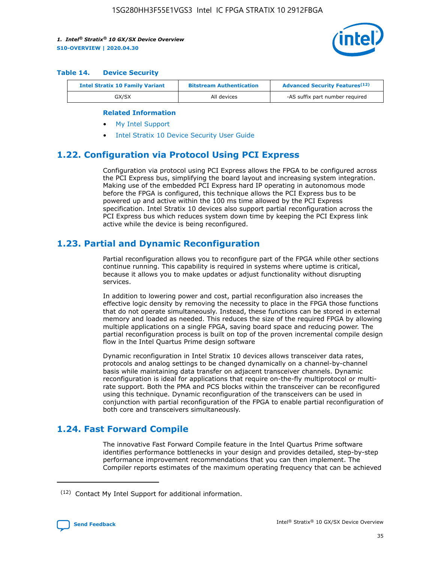

#### **Table 14. Device Security**

| <b>Intel Stratix 10 Family Variant</b> | <b>Bitstream Authentication</b> | <b>Advanced Security Features</b> <sup>(12)</sup> |
|----------------------------------------|---------------------------------|---------------------------------------------------|
| GX/SX                                  | All devices                     | -AS suffix part number required                   |

#### **Related Information**

- [My Intel Support](https://www.intel.com/content/www/us/en/programmable/my-intel/mal-home.html)
- [Intel Stratix 10 Device Security User Guide](https://www.intel.com/content/www/us/en/programmable/documentation/ndq1483601370898.html#wcd1483611014402)

## **1.22. Configuration via Protocol Using PCI Express**

Configuration via protocol using PCI Express allows the FPGA to be configured across the PCI Express bus, simplifying the board layout and increasing system integration. Making use of the embedded PCI Express hard IP operating in autonomous mode before the FPGA is configured, this technique allows the PCI Express bus to be powered up and active within the 100 ms time allowed by the PCI Express specification. Intel Stratix 10 devices also support partial reconfiguration across the PCI Express bus which reduces system down time by keeping the PCI Express link active while the device is being reconfigured.

## **1.23. Partial and Dynamic Reconfiguration**

Partial reconfiguration allows you to reconfigure part of the FPGA while other sections continue running. This capability is required in systems where uptime is critical, because it allows you to make updates or adjust functionality without disrupting services.

In addition to lowering power and cost, partial reconfiguration also increases the effective logic density by removing the necessity to place in the FPGA those functions that do not operate simultaneously. Instead, these functions can be stored in external memory and loaded as needed. This reduces the size of the required FPGA by allowing multiple applications on a single FPGA, saving board space and reducing power. The partial reconfiguration process is built on top of the proven incremental compile design flow in the Intel Quartus Prime design software

Dynamic reconfiguration in Intel Stratix 10 devices allows transceiver data rates, protocols and analog settings to be changed dynamically on a channel-by-channel basis while maintaining data transfer on adjacent transceiver channels. Dynamic reconfiguration is ideal for applications that require on-the-fly multiprotocol or multirate support. Both the PMA and PCS blocks within the transceiver can be reconfigured using this technique. Dynamic reconfiguration of the transceivers can be used in conjunction with partial reconfiguration of the FPGA to enable partial reconfiguration of both core and transceivers simultaneously.

## **1.24. Fast Forward Compile**

The innovative Fast Forward Compile feature in the Intel Quartus Prime software identifies performance bottlenecks in your design and provides detailed, step-by-step performance improvement recommendations that you can then implement. The Compiler reports estimates of the maximum operating frequency that can be achieved

<sup>(12)</sup> Contact My Intel Support for additional information.

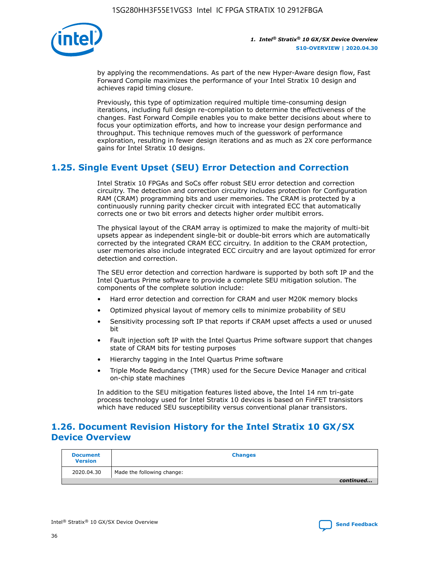

by applying the recommendations. As part of the new Hyper-Aware design flow, Fast Forward Compile maximizes the performance of your Intel Stratix 10 design and achieves rapid timing closure.

Previously, this type of optimization required multiple time-consuming design iterations, including full design re-compilation to determine the effectiveness of the changes. Fast Forward Compile enables you to make better decisions about where to focus your optimization efforts, and how to increase your design performance and throughput. This technique removes much of the guesswork of performance exploration, resulting in fewer design iterations and as much as 2X core performance gains for Intel Stratix 10 designs.

## **1.25. Single Event Upset (SEU) Error Detection and Correction**

Intel Stratix 10 FPGAs and SoCs offer robust SEU error detection and correction circuitry. The detection and correction circuitry includes protection for Configuration RAM (CRAM) programming bits and user memories. The CRAM is protected by a continuously running parity checker circuit with integrated ECC that automatically corrects one or two bit errors and detects higher order multibit errors.

The physical layout of the CRAM array is optimized to make the majority of multi-bit upsets appear as independent single-bit or double-bit errors which are automatically corrected by the integrated CRAM ECC circuitry. In addition to the CRAM protection, user memories also include integrated ECC circuitry and are layout optimized for error detection and correction.

The SEU error detection and correction hardware is supported by both soft IP and the Intel Quartus Prime software to provide a complete SEU mitigation solution. The components of the complete solution include:

- Hard error detection and correction for CRAM and user M20K memory blocks
- Optimized physical layout of memory cells to minimize probability of SEU
- Sensitivity processing soft IP that reports if CRAM upset affects a used or unused bit
- Fault injection soft IP with the Intel Quartus Prime software support that changes state of CRAM bits for testing purposes
- Hierarchy tagging in the Intel Quartus Prime software
- Triple Mode Redundancy (TMR) used for the Secure Device Manager and critical on-chip state machines

In addition to the SEU mitigation features listed above, the Intel 14 nm tri-gate process technology used for Intel Stratix 10 devices is based on FinFET transistors which have reduced SEU susceptibility versus conventional planar transistors.

## **1.26. Document Revision History for the Intel Stratix 10 GX/SX Device Overview**

| <b>Document</b><br><b>Version</b> | <b>Changes</b>             |
|-----------------------------------|----------------------------|
| 2020.04.30                        | Made the following change: |
|                                   | continued                  |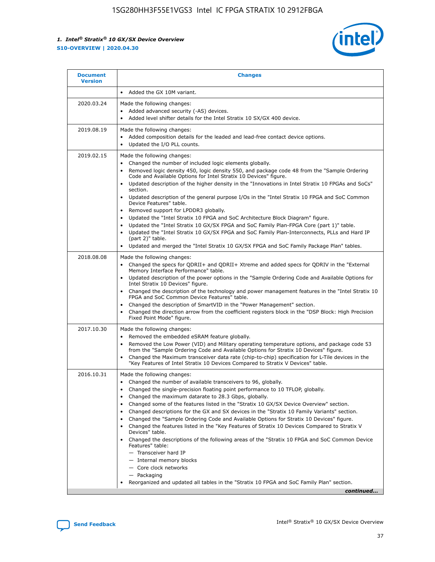

| <b>Document</b><br><b>Version</b> | <b>Changes</b>                                                                                                                                                                                                                                                                                                                                                                                                                                                                                                                                                                                                                                                                                                                                                                                                                                                                                                                                                                                 |
|-----------------------------------|------------------------------------------------------------------------------------------------------------------------------------------------------------------------------------------------------------------------------------------------------------------------------------------------------------------------------------------------------------------------------------------------------------------------------------------------------------------------------------------------------------------------------------------------------------------------------------------------------------------------------------------------------------------------------------------------------------------------------------------------------------------------------------------------------------------------------------------------------------------------------------------------------------------------------------------------------------------------------------------------|
|                                   | Added the GX 10M variant.                                                                                                                                                                                                                                                                                                                                                                                                                                                                                                                                                                                                                                                                                                                                                                                                                                                                                                                                                                      |
| 2020.03.24                        | Made the following changes:<br>Added advanced security (-AS) devices.<br>Added level shifter details for the Intel Stratix 10 SX/GX 400 device.                                                                                                                                                                                                                                                                                                                                                                                                                                                                                                                                                                                                                                                                                                                                                                                                                                                |
| 2019.08.19                        | Made the following changes:<br>Added composition details for the leaded and lead-free contact device options.<br>Updated the I/O PLL counts.                                                                                                                                                                                                                                                                                                                                                                                                                                                                                                                                                                                                                                                                                                                                                                                                                                                   |
| 2019.02.15                        | Made the following changes:<br>Changed the number of included logic elements globally.<br>Removed logic density 450, logic density 550, and package code 48 from the "Sample Ordering<br>$\bullet$<br>Code and Available Options for Intel Stratix 10 Devices" figure.<br>Updated description of the higher density in the "Innovations in Intel Stratix 10 FPGAs and SoCs"<br>section.<br>Updated description of the general purpose I/Os in the "Intel Stratix 10 FPGA and SoC Common<br>$\bullet$<br>Device Features" table.<br>Removed support for LPDDR3 globally.<br>Updated the "Intel Stratix 10 FPGA and SoC Architecture Block Diagram" figure.<br>$\bullet$<br>Updated the "Intel Stratix 10 GX/SX FPGA and SoC Family Plan-FPGA Core (part 1)" table.<br>$\bullet$<br>Updated the "Intel Stratix 10 GX/SX FPGA and SoC Family Plan-Interconnects, PLLs and Hard IP<br>(part 2)" table.<br>Updated and merged the "Intel Stratix 10 GX/SX FPGA and SoC Family Package Plan" tables. |
| 2018.08.08                        | Made the following changes:<br>Changed the specs for QDRII+ and QDRII+ Xtreme and added specs for QDRIV in the "External<br>$\bullet$<br>Memory Interface Performance" table.<br>Updated description of the power options in the "Sample Ordering Code and Available Options for<br>Intel Stratix 10 Devices" figure.<br>Changed the description of the technology and power management features in the "Intel Stratix 10<br>FPGA and SoC Common Device Features" table.<br>Changed the description of SmartVID in the "Power Management" section.<br>Changed the direction arrow from the coefficient registers block in the "DSP Block: High Precision<br>Fixed Point Mode" figure.                                                                                                                                                                                                                                                                                                          |
| 2017.10.30                        | Made the following changes:<br>Removed the embedded eSRAM feature globally.<br>$\bullet$<br>Removed the Low Power (VID) and Military operating temperature options, and package code 53<br>from the "Sample Ordering Code and Available Options for Stratix 10 Devices" figure.<br>Changed the Maximum transceiver data rate (chip-to-chip) specification for L-Tile devices in the<br>"Key Features of Intel Stratix 10 Devices Compared to Stratix V Devices" table.                                                                                                                                                                                                                                                                                                                                                                                                                                                                                                                         |
| 2016.10.31                        | Made the following changes:<br>• Changed the number of available transceivers to 96, globally.<br>Changed the single-precision floating point performance to 10 TFLOP, globally.<br>Changed the maximum datarate to 28.3 Gbps, globally.<br>Changed some of the features listed in the "Stratix 10 GX/SX Device Overview" section.<br>$\bullet$<br>Changed descriptions for the GX and SX devices in the "Stratix 10 Family Variants" section.<br>$\bullet$<br>Changed the "Sample Ordering Code and Available Options for Stratix 10 Devices" figure.<br>Changed the features listed in the "Key Features of Stratix 10 Devices Compared to Stratix V<br>Devices" table.<br>Changed the descriptions of the following areas of the "Stratix 10 FPGA and SoC Common Device<br>Features" table:<br>- Transceiver hard IP<br>- Internal memory blocks<br>- Core clock networks<br>- Packaging<br>Reorganized and updated all tables in the "Stratix 10 FPGA and SoC Family Plan" section.        |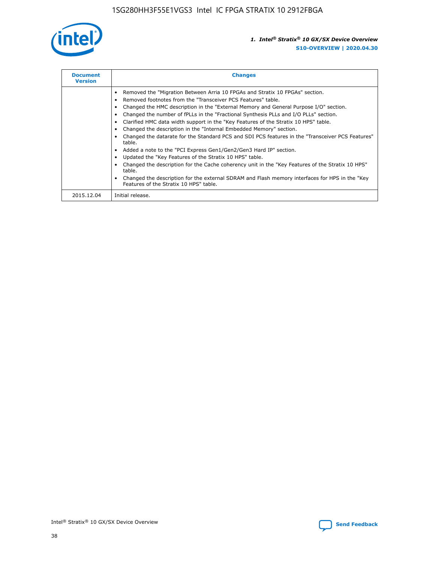

| <b>Document</b><br><b>Version</b> | <b>Changes</b>                                                                                                                                                                                                                                                                                                                                                                                                                                                                                                                                                                                                                                                                                                                                                                                                                                                                                                                                                                                     |  |
|-----------------------------------|----------------------------------------------------------------------------------------------------------------------------------------------------------------------------------------------------------------------------------------------------------------------------------------------------------------------------------------------------------------------------------------------------------------------------------------------------------------------------------------------------------------------------------------------------------------------------------------------------------------------------------------------------------------------------------------------------------------------------------------------------------------------------------------------------------------------------------------------------------------------------------------------------------------------------------------------------------------------------------------------------|--|
|                                   | Removed the "Migration Between Arria 10 FPGAs and Stratix 10 FPGAs" section.<br>Removed footnotes from the "Transceiver PCS Features" table.<br>Changed the HMC description in the "External Memory and General Purpose I/O" section.<br>Changed the number of fPLLs in the "Fractional Synthesis PLLs and I/O PLLs" section.<br>Clarified HMC data width support in the "Key Features of the Stratix 10 HPS" table.<br>Changed the description in the "Internal Embedded Memory" section.<br>Changed the datarate for the Standard PCS and SDI PCS features in the "Transceiver PCS Features"<br>table.<br>Added a note to the "PCI Express Gen1/Gen2/Gen3 Hard IP" section.<br>Updated the "Key Features of the Stratix 10 HPS" table.<br>Changed the description for the Cache coherency unit in the "Key Features of the Stratix 10 HPS"<br>table.<br>Changed the description for the external SDRAM and Flash memory interfaces for HPS in the "Key<br>Features of the Stratix 10 HPS" table. |  |
| 2015.12.04                        | Initial release.                                                                                                                                                                                                                                                                                                                                                                                                                                                                                                                                                                                                                                                                                                                                                                                                                                                                                                                                                                                   |  |